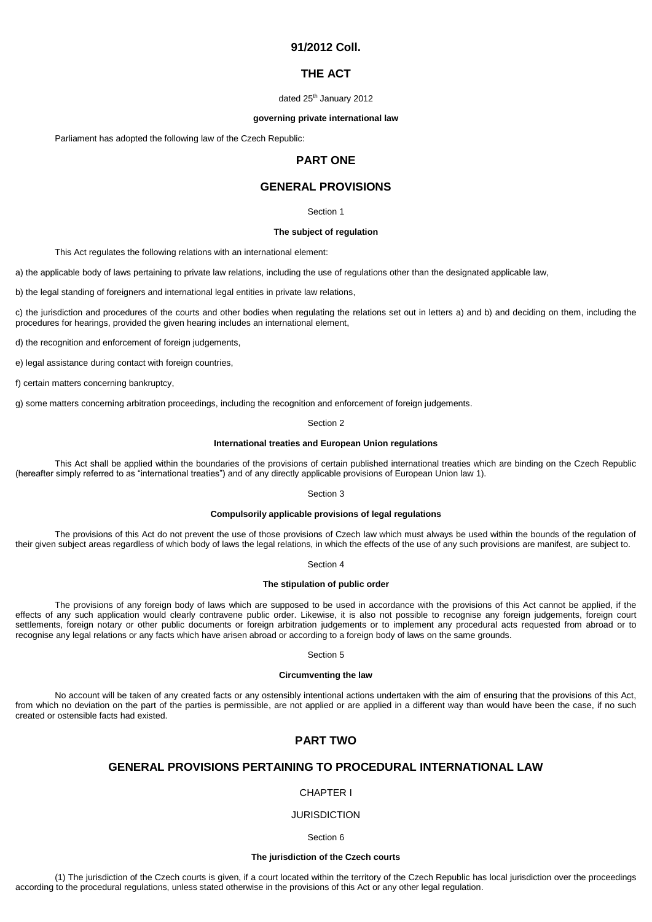# **91/2012 Coll.**

## **THE ACT**

### dated 25<sup>th</sup> January 2012

### **governing private international law**

Parliament has adopted the following law of the Czech Republic:

# **PART ONE**

# **GENERAL PROVISIONS**

### Section 1

### **The subject of regulation**

This Act regulates the following relations with an international element:

a) the applicable body of laws pertaining to private law relations, including the use of regulations other than the designated applicable law,

b) the legal standing of foreigners and international legal entities in private law relations,

c) the jurisdiction and procedures of the courts and other bodies when regulating the relations set out in letters a) and b) and deciding on them, including the procedures for hearings, provided the given hearing includes an international element,

d) the recognition and enforcement of foreign judgements,

e) legal assistance during contact with foreign countries,

f) certain matters concerning bankruptcy,

g) some matters concerning arbitration proceedings, including the recognition and enforcement of foreign judgements.

## Section 2

## **International treaties and European Union regulations**

This Act shall be applied within the boundaries of the provisions of certain published international treaties which are binding on the Czech Republic (hereafter simply referred to as "international treaties") and of any directly applicable provisions of European Union law 1).

Section 3

## **Compulsorily applicable provisions of legal regulations**

The provisions of this Act do not prevent the use of those provisions of Czech law which must always be used within the bounds of the regulation of their given subject areas regardless of which body of laws the legal relations, in which the effects of the use of any such provisions are manifest, are subject to.

Section 4

## **The stipulation of public order**

The provisions of any foreign body of laws which are supposed to be used in accordance with the provisions of this Act cannot be applied, if the effects of any such application would clearly contravene public order. Likewise, it is also not possible to recognise any foreign judgements, foreign court settlements, foreign notary or other public documents or foreign arbitration judgements or to implement any procedural acts requested from abroad or to recognise any legal relations or any facts which have arisen abroad or according to a foreign body of laws on the same grounds.

Section 5

## **Circumventing the law**

No account will be taken of any created facts or any ostensibly intentional actions undertaken with the aim of ensuring that the provisions of this Act, from which no deviation on the part of the parties is permissible, are not applied or are applied in a different way than would have been the case, if no such created or ostensible facts had existed.

# **PART TWO**

# **GENERAL PROVISIONS PERTAINING TO PROCEDURAL INTERNATIONAL LAW**

## CHAPTER I

## **JURISDICTION**

Section 6

## **The jurisdiction of the Czech courts**

(1) The jurisdiction of the Czech courts is given, if a court located within the territory of the Czech Republic has local jurisdiction over the proceedings according to the procedural regulations, unless stated otherwise in the provisions of this Act or any other legal regulation.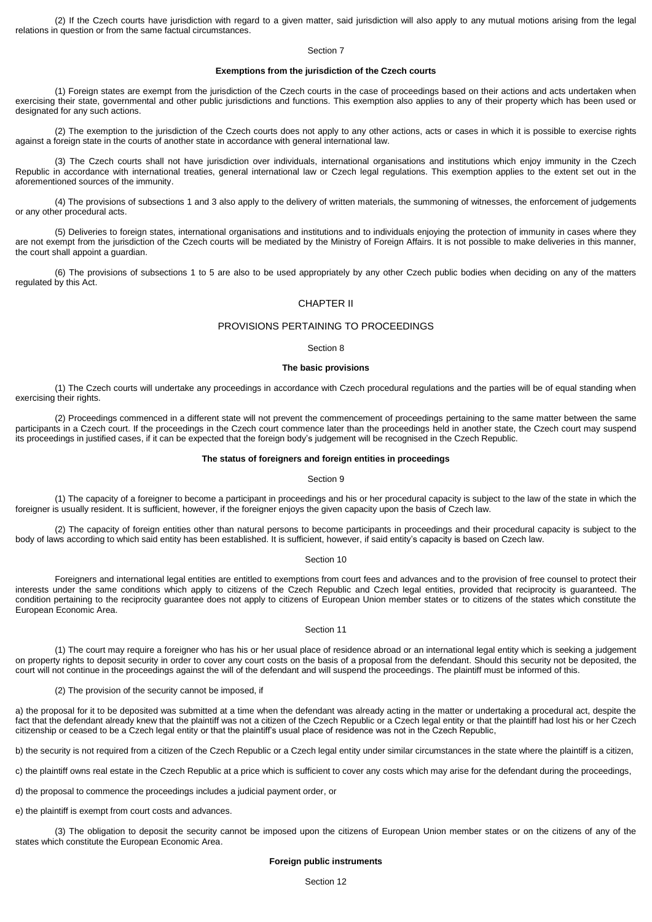(2) If the Czech courts have jurisdiction with regard to a given matter, said jurisdiction will also apply to any mutual motions arising from the legal relations in question or from the same factual circumstances.

## Section 7

## **Exemptions from the jurisdiction of the Czech courts**

(1) Foreign states are exempt from the jurisdiction of the Czech courts in the case of proceedings based on their actions and acts undertaken when exercising their state, governmental and other public jurisdictions and functions. This exemption also applies to any of their property which has been used or designated for any such actions.

(2) The exemption to the jurisdiction of the Czech courts does not apply to any other actions, acts or cases in which it is possible to exercise rights against a foreign state in the courts of another state in accordance with general international law.

(3) The Czech courts shall not have jurisdiction over individuals, international organisations and institutions which enjoy immunity in the Czech Republic in accordance with international treaties, general international law or Czech legal regulations. This exemption applies to the extent set out in the aforementioned sources of the immunity.

(4) The provisions of subsections 1 and 3 also apply to the delivery of written materials, the summoning of witnesses, the enforcement of judgements or any other procedural acts.

(5) Deliveries to foreign states, international organisations and institutions and to individuals enjoying the protection of immunity in cases where they are not exempt from the jurisdiction of the Czech courts will be mediated by the Ministry of Foreign Affairs. It is not possible to make deliveries in this manner, the court shall appoint a guardian.

(6) The provisions of subsections 1 to 5 are also to be used appropriately by any other Czech public bodies when deciding on any of the matters regulated by this Act.

## CHAPTER II

## PROVISIONS PERTAINING TO PROCEEDINGS

### Section 8

### **The basic provisions**

(1) The Czech courts will undertake any proceedings in accordance with Czech procedural regulations and the parties will be of equal standing when exercising their rights.

(2) Proceedings commenced in a different state will not prevent the commencement of proceedings pertaining to the same matter between the same participants in a Czech court. If the proceedings in the Czech court commence later than the proceedings held in another state, the Czech court may suspend its proceedings in justified cases, if it can be expected that the foreign body's judgement will be recognised in the Czech Republic.

### **The status of foreigners and foreign entities in proceedings**

### Section 9

(1) The capacity of a foreigner to become a participant in proceedings and his or her procedural capacity is subject to the law of the state in which the foreigner is usually resident. It is sufficient, however, if the foreigner enjoys the given capacity upon the basis of Czech law.

(2) The capacity of foreign entities other than natural persons to become participants in proceedings and their procedural capacity is subject to the body of laws according to which said entity has been established. It is sufficient, however, if said entity's capacity is based on Czech law.

## Section 10

Foreigners and international legal entities are entitled to exemptions from court fees and advances and to the provision of free counsel to protect their interests under the same conditions which apply to citizens of the Czech Republic and Czech legal entities, provided that reciprocity is guaranteed. The condition pertaining to the reciprocity guarantee does not apply to citizens of European Union member states or to citizens of the states which constitute the European Economic Area.

### Section 11

(1) The court may require a foreigner who has his or her usual place of residence abroad or an international legal entity which is seeking a judgement on property rights to deposit security in order to cover any court costs on the basis of a proposal from the defendant. Should this security not be deposited, the court will not continue in the proceedings against the will of the defendant and will suspend the proceedings. The plaintiff must be informed of this.

(2) The provision of the security cannot be imposed, if

a) the proposal for it to be deposited was submitted at a time when the defendant was already acting in the matter or undertaking a procedural act, despite the fact that the defendant already knew that the plaintiff was not a citizen of the Czech Republic or a Czech legal entity or that the plaintiff had lost his or her Czech citizenship or ceased to be a Czech legal entity or that the plaintiff's usual place of residence was not in the Czech Republic,

b) the security is not required from a citizen of the Czech Republic or a Czech legal entity under similar circumstances in the state where the plaintiff is a citizen.

c) the plaintiff owns real estate in the Czech Republic at a price which is sufficient to cover any costs which may arise for the defendant during the proceedings,

d) the proposal to commence the proceedings includes a judicial payment order, or

e) the plaintiff is exempt from court costs and advances.

(3) The obligation to deposit the security cannot be imposed upon the citizens of European Union member states or on the citizens of any of the states which constitute the European Economic Area.

### **Foreign public instruments**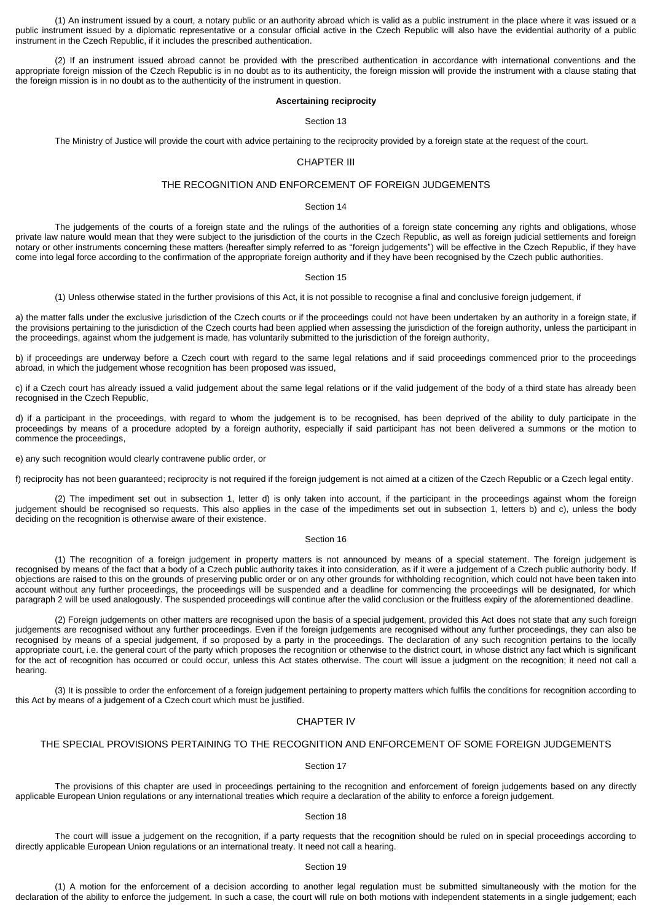(1) An instrument issued by a court, a notary public or an authority abroad which is valid as a public instrument in the place where it was issued or a public instrument issued by a diplomatic representative or a consular official active in the Czech Republic will also have the evidential authority of a public instrument in the Czech Republic, if it includes the prescribed authentication.

(2) If an instrument issued abroad cannot be provided with the prescribed authentication in accordance with international conventions and the appropriate foreign mission of the Czech Republic is in no doubt as to its authenticity, the foreign mission will provide the instrument with a clause stating that the foreign mission is in no doubt as to the authenticity of the instrument in question.

## **Ascertaining reciprocity**

#### Section 13

The Ministry of Justice will provide the court with advice pertaining to the reciprocity provided by a foreign state at the request of the court.

## CHAPTER III

## THE RECOGNITION AND ENFORCEMENT OF FOREIGN JUDGEMENTS

### Section 14

The judgements of the courts of a foreign state and the rulings of the authorities of a foreign state concerning any rights and obligations, whose private law nature would mean that they were subject to the jurisdiction of the courts in the Czech Republic, as well as foreign judicial settlements and foreign notary or other instruments concerning these matters (hereafter simply referred to as "foreign judgements") will be effective in the Czech Republic, if they have come into legal force according to the confirmation of the appropriate foreign authority and if they have been recognised by the Czech public authorities.

### Section 15

(1) Unless otherwise stated in the further provisions of this Act, it is not possible to recognise a final and conclusive foreign judgement, if

a) the matter falls under the exclusive jurisdiction of the Czech courts or if the proceedings could not have been undertaken by an authority in a foreign state, if the provisions pertaining to the jurisdiction of the Czech courts had been applied when assessing the jurisdiction of the foreign authority, unless the participant in the proceedings, against whom the judgement is made, has voluntarily submitted to the jurisdiction of the foreign authority,

b) if proceedings are underway before a Czech court with regard to the same legal relations and if said proceedings commenced prior to the proceedings abroad, in which the judgement whose recognition has been proposed was issued,

c) if a Czech court has already issued a valid judgement about the same legal relations or if the valid judgement of the body of a third state has already been recognised in the Czech Republic,

d) if a participant in the proceedings, with regard to whom the judgement is to be recognised, has been deprived of the ability to duly participate in the proceedings by means of a procedure adopted by a foreign authority, especially if said participant has not been delivered a summons or the motion to commence the proceedings,

e) any such recognition would clearly contravene public order, or

f) reciprocity has not been guaranteed; reciprocity is not required if the foreign judgement is not aimed at a citizen of the Czech Republic or a Czech legal entity.

(2) The impediment set out in subsection 1, letter d) is only taken into account, if the participant in the proceedings against whom the foreign judgement should be recognised so requests. This also applies in the case of the impediments set out in subsection 1, letters b) and c), unless the body deciding on the recognition is otherwise aware of their existence.

## Section 16

(1) The recognition of a foreign judgement in property matters is not announced by means of a special statement. The foreign judgement is recognised by means of the fact that a body of a Czech public authority takes it into consideration, as if it were a judgement of a Czech public authority body. If objections are raised to this on the grounds of preserving public order or on any other grounds for withholding recognition, which could not have been taken into account without any further proceedings, the proceedings will be suspended and a deadline for commencing the proceedings will be designated, for which paragraph 2 will be used analogously. The suspended proceedings will continue after the valid conclusion or the fruitless expiry of the aforementioned deadline.

(2) Foreign judgements on other matters are recognised upon the basis of a special judgement, provided this Act does not state that any such foreign judgements are recognised without any further proceedings. Even if the foreign judgements are recognised without any further proceedings, they can also be recognised by means of a special judgement, if so proposed by a party in the proceedings. The declaration of any such recognition pertains to the locally appropriate court, i.e. the general court of the party which proposes the recognition or otherwise to the district court, in whose district any fact which is significant for the act of recognition has occurred or could occur, unless this Act states otherwise. The court will issue a judgment on the recognition; it need not call a hearing.

(3) It is possible to order the enforcement of a foreign judgement pertaining to property matters which fulfils the conditions for recognition according to this Act by means of a judgement of a Czech court which must be justified.

## CHAPTER IV

## THE SPECIAL PROVISIONS PERTAINING TO THE RECOGNITION AND ENFORCEMENT OF SOME FOREIGN JUDGEMENTS

## Section 17

The provisions of this chapter are used in proceedings pertaining to the recognition and enforcement of foreign judgements based on any directly applicable European Union regulations or any international treaties which require a declaration of the ability to enforce a foreign judgement.

#### Section 18

The court will issue a judgement on the recognition, if a party requests that the recognition should be ruled on in special proceedings according to directly applicable European Union regulations or an international treaty. It need not call a hearing.

## Section 19

(1) A motion for the enforcement of a decision according to another legal regulation must be submitted simultaneously with the motion for the declaration of the ability to enforce the judgement. In such a case, the court will rule on both motions with independent statements in a single judgement; each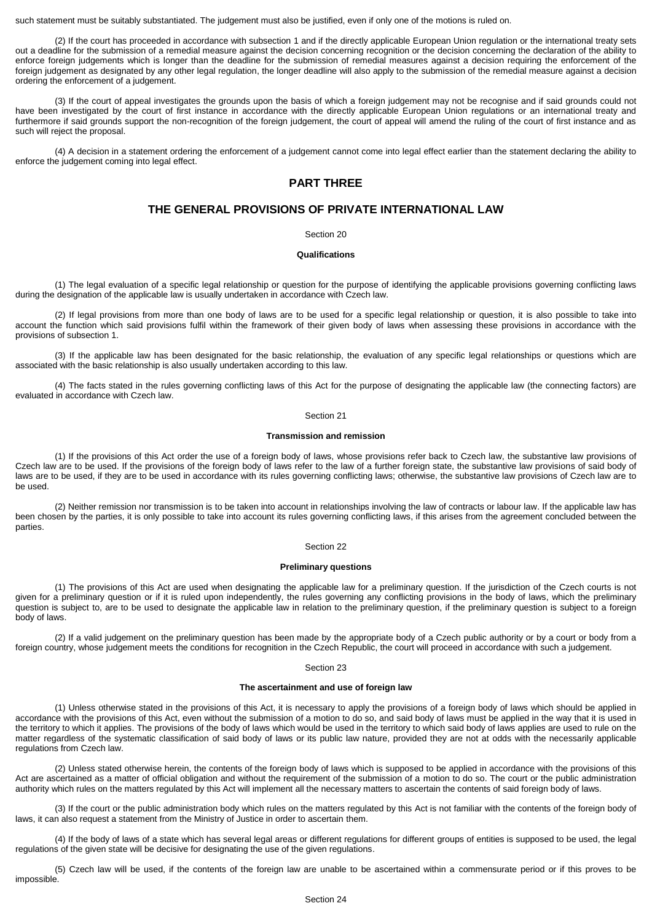such statement must be suitably substantiated. The judgement must also be justified, even if only one of the motions is ruled on.

(2) If the court has proceeded in accordance with subsection 1 and if the directly applicable European Union regulation or the international treaty sets out a deadline for the submission of a remedial measure against the decision concerning recognition or the decision concerning the declaration of the ability to enforce foreign judgements which is longer than the deadline for the submission of remedial measures against a decision requiring the enforcement of the foreign judgement as designated by any other legal regulation, the longer deadline will also apply to the submission of the remedial measure against a decision ordering the enforcement of a judgement.

(3) If the court of appeal investigates the grounds upon the basis of which a foreign judgement may not be recognise and if said grounds could not have been investigated by the court of first instance in accordance with the directly applicable European Union regulations or an international treaty and furthermore if said grounds support the non-recognition of the foreign judgement, the court of appeal will amend the ruling of the court of first instance and as such will reject the proposal.

(4) A decision in a statement ordering the enforcement of a judgement cannot come into legal effect earlier than the statement declaring the ability to enforce the judgement coming into legal effect.

# **PART THREE**

# **THE GENERAL PROVISIONS OF PRIVATE INTERNATIONAL LAW**

## Section 20

## **Qualifications**

(1) The legal evaluation of a specific legal relationship or question for the purpose of identifying the applicable provisions governing conflicting laws during the designation of the applicable law is usually undertaken in accordance with Czech law.

(2) If legal provisions from more than one body of laws are to be used for a specific legal relationship or question, it is also possible to take into account the function which said provisions fulfil within the framework of their given body of laws when assessing these provisions in accordance with the provisions of subsection 1.

(3) If the applicable law has been designated for the basic relationship, the evaluation of any specific legal relationships or questions which are associated with the basic relationship is also usually undertaken according to this law.

(4) The facts stated in the rules governing conflicting laws of this Act for the purpose of designating the applicable law (the connecting factors) are evaluated in accordance with Czech law.

## Section 21

## **Transmission and remission**

(1) If the provisions of this Act order the use of a foreign body of laws, whose provisions refer back to Czech law, the substantive law provisions of Czech law are to be used. If the provisions of the foreign body of laws refer to the law of a further foreign state, the substantive law provisions of said body of laws are to be used, if they are to be used in accordance with its rules governing conflicting laws; otherwise, the substantive law provisions of Czech law are to be used.

(2) Neither remission nor transmission is to be taken into account in relationships involving the law of contracts or labour law. If the applicable law has been chosen by the parties, it is only possible to take into account its rules governing conflicting laws, if this arises from the agreement concluded between the parties.

## Section 22

## **Preliminary questions**

(1) The provisions of this Act are used when designating the applicable law for a preliminary question. If the jurisdiction of the Czech courts is not given for a preliminary question or if it is ruled upon independently, the rules governing any conflicting provisions in the body of laws, which the preliminary question is subject to, are to be used to designate the applicable law in relation to the preliminary question, if the preliminary question is subject to a foreign body of laws.

(2) If a valid judgement on the preliminary question has been made by the appropriate body of a Czech public authority or by a court or body from a foreign country, whose judgement meets the conditions for recognition in the Czech Republic, the court will proceed in accordance with such a judgement.

## Section 23

### **The ascertainment and use of foreign law**

(1) Unless otherwise stated in the provisions of this Act, it is necessary to apply the provisions of a foreign body of laws which should be applied in accordance with the provisions of this Act, even without the submission of a motion to do so, and said body of laws must be applied in the way that it is used in the territory to which it applies. The provisions of the body of laws which would be used in the territory to which said body of laws applies are used to rule on the matter regardless of the systematic classification of said body of laws or its public law nature, provided they are not at odds with the necessarily applicable regulations from Czech law.

(2) Unless stated otherwise herein, the contents of the foreign body of laws which is supposed to be applied in accordance with the provisions of this Act are ascertained as a matter of official obligation and without the requirement of the submission of a motion to do so. The court or the public administration authority which rules on the matters regulated by this Act will implement all the necessary matters to ascertain the contents of said foreign body of laws.

(3) If the court or the public administration body which rules on the matters regulated by this Act is not familiar with the contents of the foreign body of laws, it can also request a statement from the Ministry of Justice in order to ascertain them.

(4) If the body of laws of a state which has several legal areas or different regulations for different groups of entities is supposed to be used, the legal regulations of the given state will be decisive for designating the use of the given regulations.

(5) Czech law will be used, if the contents of the foreign law are unable to be ascertained within a commensurate period or if this proves to be impossible.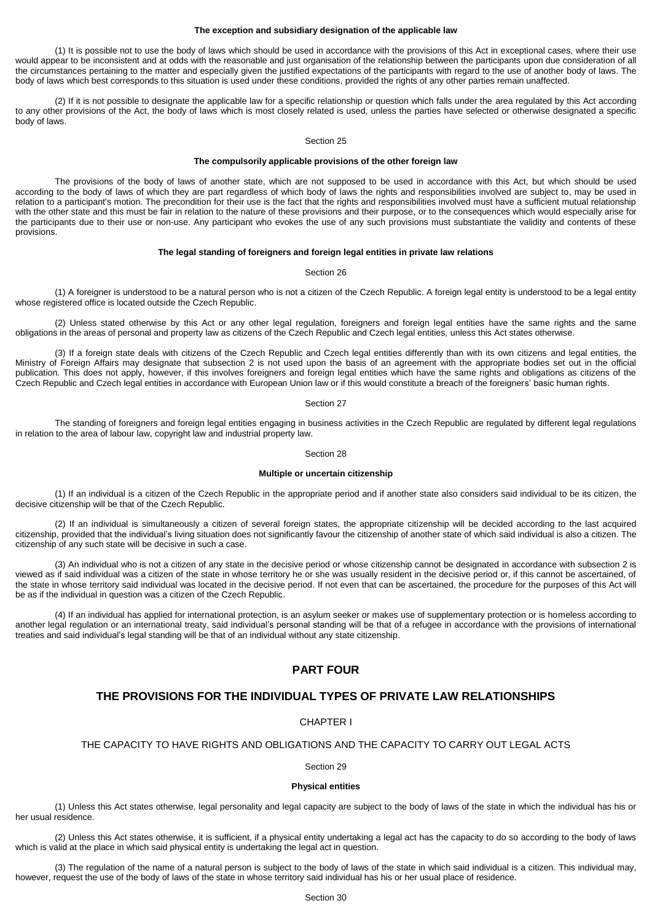## **The exception and subsidiary designation of the applicable law**

(1) It is possible not to use the body of laws which should be used in accordance with the provisions of this Act in exceptional cases, where their use would appear to be inconsistent and at odds with the reasonable and just organisation of the relationship between the participants upon due consideration of all the circumstances pertaining to the matter and especially given the justified expectations of the participants with regard to the use of another body of laws. The body of laws which best corresponds to this situation is used under these conditions, provided the rights of any other parties remain unaffected.

(2) If it is not possible to designate the applicable law for a specific relationship or question which falls under the area regulated by this Act according to any other provisions of the Act, the body of laws which is most closely related is used, unless the parties have selected or otherwise designated a specific body of laws.

## Section 25

## **The compulsorily applicable provisions of the other foreign law**

The provisions of the body of laws of another state, which are not supposed to be used in accordance with this Act, but which should be used according to the body of laws of which they are part regardless of which body of laws the rights and responsibilities involved are subject to, may be used in relation to a participant's motion. The precondition for their use is the fact that the rights and responsibilities involved must have a sufficient mutual relationship with the other state and this must be fair in relation to the nature of these provisions and their purpose, or to the consequences which would especially arise for the participants due to their use or non-use. Any participant who evokes the use of any such provisions must substantiate the validity and contents of these provisions.

### **The legal standing of foreigners and foreign legal entities in private law relations**

#### Section 26

(1) A foreigner is understood to be a natural person who is not a citizen of the Czech Republic. A foreign legal entity is understood to be a legal entity whose registered office is located outside the Czech Republic.

(2) Unless stated otherwise by this Act or any other legal regulation, foreigners and foreign legal entities have the same rights and the same obligations in the areas of personal and property law as citizens of the Czech Republic and Czech legal entities, unless this Act states otherwise.

(3) If a foreign state deals with citizens of the Czech Republic and Czech legal entities differently than with its own citizens and legal entities, the Ministry of Foreign Affairs may designate that subsection 2 is not used upon the basis of an agreement with the appropriate bodies set out in the official publication. This does not apply, however, if this involves foreigners and foreign legal entities which have the same rights and obligations as citizens of the Czech Republic and Czech legal entities in accordance with European Union law or if this would constitute a breach of the foreigners' basic human rights.

## Section 27

The standing of foreigners and foreign legal entities engaging in business activities in the Czech Republic are regulated by different legal regulations in relation to the area of labour law, copyright law and industrial property law.

### Section 28

## **Multiple or uncertain citizenship**

(1) If an individual is a citizen of the Czech Republic in the appropriate period and if another state also considers said individual to be its citizen, the decisive citizenship will be that of the Czech Republic.

(2) If an individual is simultaneously a citizen of several foreign states, the appropriate citizenship will be decided according to the last acquired citizenship, provided that the individual's living situation does not significantly favour the citizenship of another state of which said individual is also a citizen. The citizenship of any such state will be decisive in such a case.

(3) An individual who is not a citizen of any state in the decisive period or whose citizenship cannot be designated in accordance with subsection 2 is viewed as if said individual was a citizen of the state in whose territory he or she was usually resident in the decisive period or, if this cannot be ascertained, of the state in whose territory said individual was located in the decisive period. If not even that can be ascertained, the procedure for the purposes of this Act will be as if the individual in question was a citizen of the Czech Republic.

(4) If an individual has applied for international protection, is an asylum seeker or makes use of supplementary protection or is homeless according to another legal regulation or an international treaty, said individual's personal standing will be that of a refugee in accordance with the provisions of international treaties and said individual's legal standing will be that of an individual without any state citizenship.

# **PART FOUR**

## **THE PROVISIONS FOR THE INDIVIDUAL TYPES OF PRIVATE LAW RELATIONSHIPS**

## CHAPTER I

### THE CAPACITY TO HAVE RIGHTS AND OBLIGATIONS AND THE CAPACITY TO CARRY OUT LEGAL ACTS

Section 29

## **Physical entities**

(1) Unless this Act states otherwise, legal personality and legal capacity are subject to the body of laws of the state in which the individual has his or her usual residence.

(2) Unless this Act states otherwise, it is sufficient, if a physical entity undertaking a legal act has the capacity to do so according to the body of laws which is valid at the place in which said physical entity is undertaking the legal act in question.

(3) The regulation of the name of a natural person is subject to the body of laws of the state in which said individual is a citizen. This individual may, however, request the use of the body of laws of the state in whose territory said individual has his or her usual place of residence.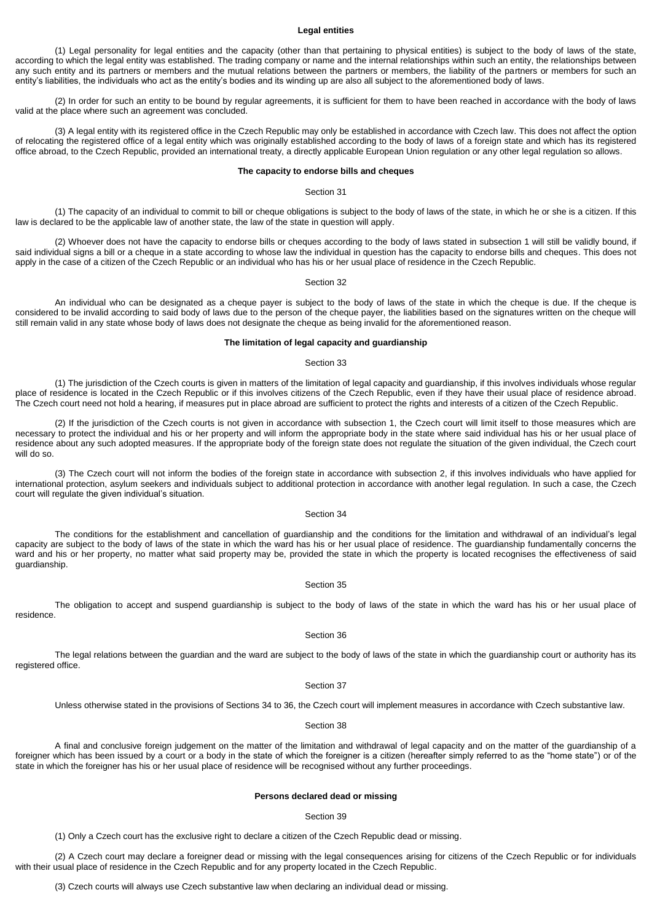## **Legal entities**

(1) Legal personality for legal entities and the capacity (other than that pertaining to physical entities) is subject to the body of laws of the state, according to which the legal entity was established. The trading company or name and the internal relationships within such an entity, the relationships between any such entity and its partners or members and the mutual relations between the partners or members, the liability of the partners or members for such an entity's liabilities, the individuals who act as the entity's bodies and its winding up are also all subject to the aforementioned body of laws.

(2) In order for such an entity to be bound by regular agreements, it is sufficient for them to have been reached in accordance with the body of laws valid at the place where such an agreement was concluded.

(3) A legal entity with its registered office in the Czech Republic may only be established in accordance with Czech law. This does not affect the option of relocating the registered office of a legal entity which was originally established according to the body of laws of a foreign state and which has its registered office abroad, to the Czech Republic, provided an international treaty, a directly applicable European Union regulation or any other legal regulation so allows.

### **The capacity to endorse bills and cheques**

## Section 31

(1) The capacity of an individual to commit to bill or cheque obligations is subject to the body of laws of the state, in which he or she is a citizen. If this law is declared to be the applicable law of another state, the law of the state in question will apply.

(2) Whoever does not have the capacity to endorse bills or cheques according to the body of laws stated in subsection 1 will still be validly bound, if said individual signs a bill or a cheque in a state according to whose law the individual in question has the capacity to endorse bills and cheques. This does not apply in the case of a citizen of the Czech Republic or an individual who has his or her usual place of residence in the Czech Republic.

#### Section 32

An individual who can be designated as a cheque payer is subject to the body of laws of the state in which the cheque is due. If the cheque is considered to be invalid according to said body of laws due to the person of the cheque payer, the liabilities based on the signatures written on the cheque will still remain valid in any state whose body of laws does not designate the cheque as being invalid for the aforementioned reason.

## **The limitation of legal capacity and guardianship**

### Section 33

(1) The jurisdiction of the Czech courts is given in matters of the limitation of legal capacity and guardianship, if this involves individuals whose regular place of residence is located in the Czech Republic or if this involves citizens of the Czech Republic, even if they have their usual place of residence abroad. The Czech court need not hold a hearing, if measures put in place abroad are sufficient to protect the rights and interests of a citizen of the Czech Republic.

(2) If the jurisdiction of the Czech courts is not given in accordance with subsection 1, the Czech court will limit itself to those measures which are necessary to protect the individual and his or her property and will inform the appropriate body in the state where said individual has his or her usual place of residence about any such adopted measures. If the appropriate body of the foreign state does not regulate the situation of the given individual, the Czech court will do so.

(3) The Czech court will not inform the bodies of the foreign state in accordance with subsection 2, if this involves individuals who have applied for international protection, asylum seekers and individuals subject to additional protection in accordance with another legal regulation. In such a case, the Czech court will regulate the given individual's situation.

### Section 34

The conditions for the establishment and cancellation of guardianship and the conditions for the limitation and withdrawal of an individual's legal capacity are subject to the body of laws of the state in which the ward has his or her usual place of residence. The guardianship fundamentally concerns the ward and his or her property, no matter what said property may be, provided the state in which the property is located recognises the effectiveness of said guardianship.

### Section 35

The obligation to accept and suspend guardianship is subject to the body of laws of the state in which the ward has his or her usual place of residence.

#### Section 36

The legal relations between the guardian and the ward are subject to the body of laws of the state in which the guardianship court or authority has its registered office.

#### Section 37

Unless otherwise stated in the provisions of Sections 34 to 36, the Czech court will implement measures in accordance with Czech substantive law.

### Section 38

A final and conclusive foreign judgement on the matter of the limitation and withdrawal of legal capacity and on the matter of the guardianship of a foreigner which has been issued by a court or a body in the state of which the foreigner is a citizen (hereafter simply referred to as the "home state") or of the state in which the foreigner has his or her usual place of residence will be recognised without any further proceedings.

## **Persons declared dead or missing**

#### Section 39

(1) Only a Czech court has the exclusive right to declare a citizen of the Czech Republic dead or missing.

(2) A Czech court may declare a foreigner dead or missing with the legal consequences arising for citizens of the Czech Republic or for individuals with their usual place of residence in the Czech Republic and for any property located in the Czech Republic.

(3) Czech courts will always use Czech substantive law when declaring an individual dead or missing.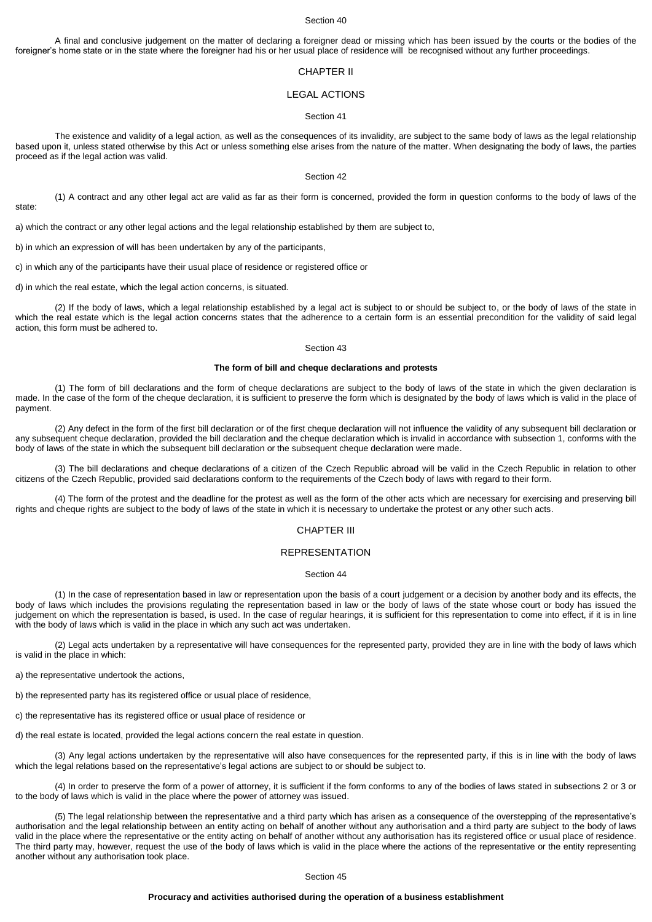A final and conclusive judgement on the matter of declaring a foreigner dead or missing which has been issued by the courts or the bodies of the foreigner's home state or in the state where the foreigner had his or her usual place of residence will be recognised without any further proceedings.

# CHAPTER II

## LEGAL ACTIONS

#### Section 41

The existence and validity of a legal action, as well as the consequences of its invalidity, are subject to the same body of laws as the legal relationship based upon it, unless stated otherwise by this Act or unless something else arises from the nature of the matter. When designating the body of laws, the parties proceed as if the legal action was valid.

### Section 42

(1) A contract and any other legal act are valid as far as their form is concerned, provided the form in question conforms to the body of laws of the state:

a) which the contract or any other legal actions and the legal relationship established by them are subject to,

b) in which an expression of will has been undertaken by any of the participants,

c) in which any of the participants have their usual place of residence or registered office or

d) in which the real estate, which the legal action concerns, is situated.

(2) If the body of laws, which a legal relationship established by a legal act is subject to or should be subject to, or the body of laws of the state in which the real estate which is the legal action concerns states that the adherence to a certain form is an essential precondition for the validity of said legal action, this form must be adhered to.

#### Section 43

### **The form of bill and cheque declarations and protests**

(1) The form of bill declarations and the form of cheque declarations are subject to the body of laws of the state in which the given declaration is made. In the case of the form of the cheque declaration, it is sufficient to preserve the form which is designated by the body of laws which is valid in the place of payment.

(2) Any defect in the form of the first bill declaration or of the first cheque declaration will not influence the validity of any subsequent bill declaration or any subsequent cheque declaration, provided the bill declaration and the cheque declaration which is invalid in accordance with subsection 1, conforms with the body of laws of the state in which the subsequent bill declaration or the subsequent cheque declaration were made.

(3) The bill declarations and cheque declarations of a citizen of the Czech Republic abroad will be valid in the Czech Republic in relation to other citizens of the Czech Republic, provided said declarations conform to the requirements of the Czech body of laws with regard to their form.

(4) The form of the protest and the deadline for the protest as well as the form of the other acts which are necessary for exercising and preserving bill rights and cheque rights are subject to the body of laws of the state in which it is necessary to undertake the protest or any other such acts.

## CHAPTER III

### REPRESENTATION

### Section 44

(1) In the case of representation based in law or representation upon the basis of a court judgement or a decision by another body and its effects, the body of laws which includes the provisions regulating the representation based in law or the body of laws of the state whose court or body has issued the judgement on which the representation is based, is used. In the case of regular hearings, it is sufficient for this representation to come into effect, if it is in line with the body of laws which is valid in the place in which any such act was undertaken.

(2) Legal acts undertaken by a representative will have consequences for the represented party, provided they are in line with the body of laws which is valid in the place in which:

a) the representative undertook the actions,

b) the represented party has its registered office or usual place of residence,

c) the representative has its registered office or usual place of residence or

d) the real estate is located, provided the legal actions concern the real estate in question.

(3) Any legal actions undertaken by the representative will also have consequences for the represented party, if this is in line with the body of laws which the legal relations based on the representative's legal actions are subject to or should be subject to.

(4) In order to preserve the form of a power of attorney, it is sufficient if the form conforms to any of the bodies of laws stated in subsections 2 or 3 or to the body of laws which is valid in the place where the power of attorney was issued.

(5) The legal relationship between the representative and a third party which has arisen as a consequence of the overstepping of the representative's authorisation and the legal relationship between an entity acting on behalf of another without any authorisation and a third party are subject to the body of laws valid in the place where the representative or the entity acting on behalf of another without any authorisation has its registered office or usual place of residence. The third party may, however, request the use of the body of laws which is valid in the place where the actions of the representative or the entity representing another without any authorisation took place.

Section 45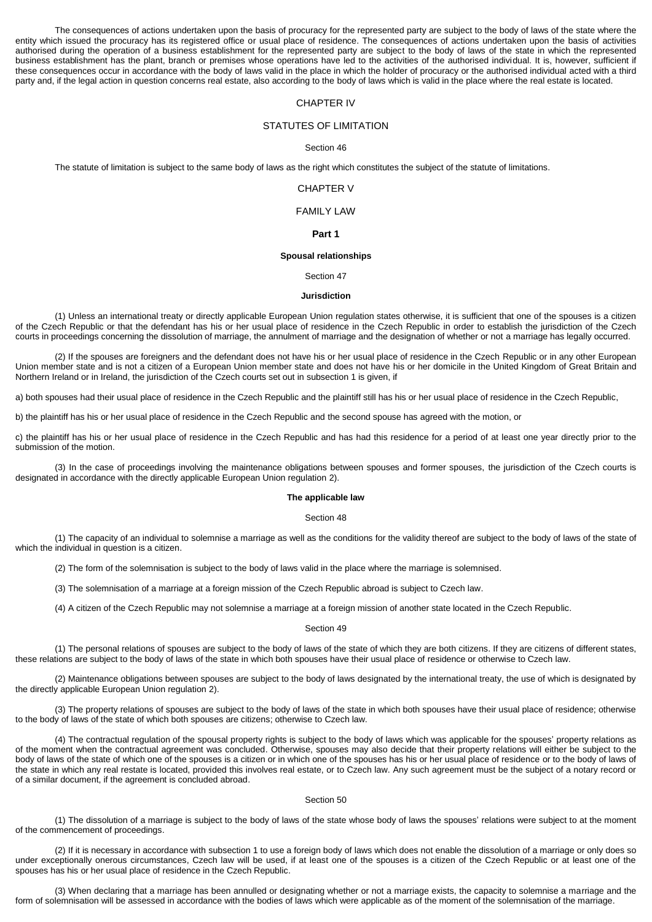The consequences of actions undertaken upon the basis of procuracy for the represented party are subject to the body of laws of the state where the entity which issued the procuracy has its registered office or usual place of residence. The consequences of actions undertaken upon the basis of activities authorised during the operation of a business establishment for the represented party are subject to the body of laws of the state in which the represented business establishment has the plant, branch or premises whose operations have led to the activities of the authorised individual. It is, however, sufficient if these consequences occur in accordance with the body of laws valid in the place in which the holder of procuracy or the authorised individual acted with a third party and, if the legal action in question concerns real estate, also according to the body of laws which is valid in the place where the real estate is located.

## CHAPTER IV

## STATUTES OF LIMITATION

#### Section 46

The statute of limitation is subject to the same body of laws as the right which constitutes the subject of the statute of limitations.

## CHAPTER V

## FAMILY LAW

## **Part 1**

### **Spousal relationships**

### Section 47

## **Jurisdiction**

(1) Unless an international treaty or directly applicable European Union regulation states otherwise, it is sufficient that one of the spouses is a citizen of the Czech Republic or that the defendant has his or her usual place of residence in the Czech Republic in order to establish the jurisdiction of the Czech courts in proceedings concerning the dissolution of marriage, the annulment of marriage and the designation of whether or not a marriage has legally occurred.

(2) If the spouses are foreigners and the defendant does not have his or her usual place of residence in the Czech Republic or in any other European Union member state and is not a citizen of a European Union member state and does not have his or her domicile in the United Kingdom of Great Britain and Northern Ireland or in Ireland, the jurisdiction of the Czech courts set out in subsection 1 is given, if

a) both spouses had their usual place of residence in the Czech Republic and the plaintiff still has his or her usual place of residence in the Czech Republic.

b) the plaintiff has his or her usual place of residence in the Czech Republic and the second spouse has agreed with the motion, or

c) the plaintiff has his or her usual place of residence in the Czech Republic and has had this residence for a period of at least one year directly prior to the submission of the motion.

(3) In the case of proceedings involving the maintenance obligations between spouses and former spouses, the jurisdiction of the Czech courts is designated in accordance with the directly applicable European Union regulation 2).

## **The applicable law**

#### Section 48

(1) The capacity of an individual to solemnise a marriage as well as the conditions for the validity thereof are subject to the body of laws of the state of which the individual in question is a citizen.

(2) The form of the solemnisation is subject to the body of laws valid in the place where the marriage is solemnised.

(3) The solemnisation of a marriage at a foreign mission of the Czech Republic abroad is subject to Czech law.

(4) A citizen of the Czech Republic may not solemnise a marriage at a foreign mission of another state located in the Czech Republic.

#### Section 49

(1) The personal relations of spouses are subject to the body of laws of the state of which they are both citizens. If they are citizens of different states, these relations are subject to the body of laws of the state in which both spouses have their usual place of residence or otherwise to Czech law.

(2) Maintenance obligations between spouses are subject to the body of laws designated by the international treaty, the use of which is designated by the directly applicable European Union regulation 2).

(3) The property relations of spouses are subject to the body of laws of the state in which both spouses have their usual place of residence; otherwise to the body of laws of the state of which both spouses are citizens; otherwise to Czech law.

(4) The contractual regulation of the spousal property rights is subject to the body of laws which was applicable for the spouses' property relations as of the moment when the contractual agreement was concluded. Otherwise, spouses may also decide that their property relations will either be subject to the body of laws of the state of which one of the spouses is a citizen or in which one of the spouses has his or her usual place of residence or to the body of laws of the state in which any real restate is located, provided this involves real estate, or to Czech law. Any such agreement must be the subject of a notary record or of a similar document, if the agreement is concluded abroad.

### Section 50

(1) The dissolution of a marriage is subject to the body of laws of the state whose body of laws the spouses' relations were subject to at the moment of the commencement of proceedings.

(2) If it is necessary in accordance with subsection 1 to use a foreign body of laws which does not enable the dissolution of a marriage or only does so under exceptionally onerous circumstances, Czech law will be used, if at least one of the spouses is a citizen of the Czech Republic or at least one of the spouses has his or her usual place of residence in the Czech Republic.

(3) When declaring that a marriage has been annulled or designating whether or not a marriage exists, the capacity to solemnise a marriage and the form of solemnisation will be assessed in accordance with the bodies of laws which were applicable as of the moment of the solemnisation of the marriage.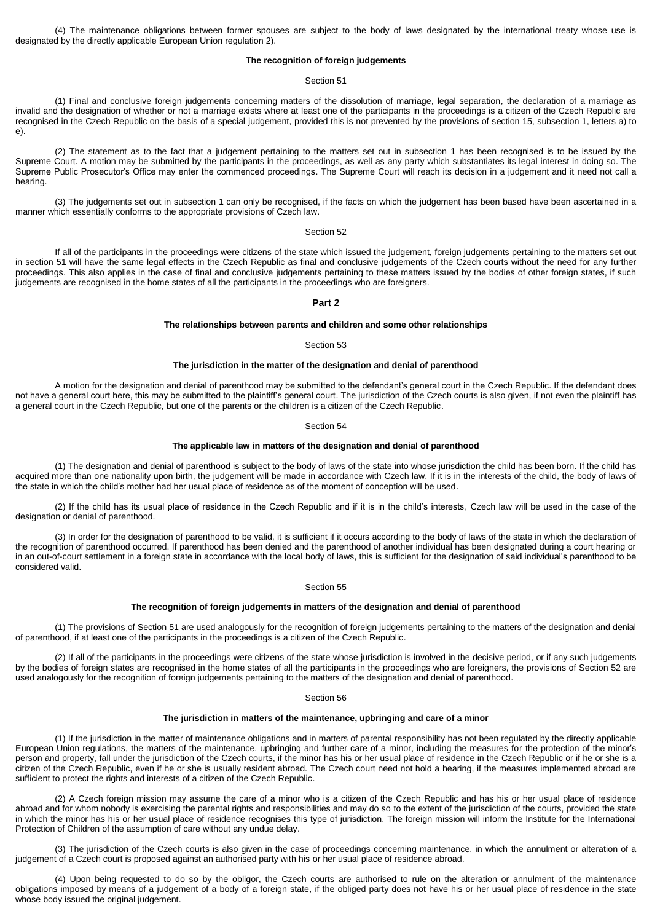(4) The maintenance obligations between former spouses are subject to the body of laws designated by the international treaty whose use is designated by the directly applicable European Union regulation 2).

### **The recognition of foreign judgements**

## Section 51

(1) Final and conclusive foreign judgements concerning matters of the dissolution of marriage, legal separation, the declaration of a marriage as invalid and the designation of whether or not a marriage exists where at least one of the participants in the proceedings is a citizen of the Czech Republic are recognised in the Czech Republic on the basis of a special judgement, provided this is not prevented by the provisions of section 15, subsection 1, letters a) to e).

(2) The statement as to the fact that a judgement pertaining to the matters set out in subsection 1 has been recognised is to be issued by the Supreme Court. A motion may be submitted by the participants in the proceedings, as well as any party which substantiates its legal interest in doing so. The Supreme Public Prosecutor's Office may enter the commenced proceedings. The Supreme Court will reach its decision in a judgement and it need not call a hearing.

(3) The judgements set out in subsection 1 can only be recognised, if the facts on which the judgement has been based have been ascertained in a manner which essentially conforms to the appropriate provisions of Czech law.

#### Section 52

If all of the participants in the proceedings were citizens of the state which issued the judgement, foreign judgements pertaining to the matters set out in section 51 will have the same legal effects in the Czech Republic as final and conclusive judgements of the Czech courts without the need for any further proceedings. This also applies in the case of final and conclusive judgements pertaining to these matters issued by the bodies of other foreign states, if such judgements are recognised in the home states of all the participants in the proceedings who are foreigners.

## **Part 2**

### **The relationships between parents and children and some other relationships**

### Section 53

## **The jurisdiction in the matter of the designation and denial of parenthood**

A motion for the designation and denial of parenthood may be submitted to the defendant's general court in the Czech Republic. If the defendant does not have a general court here, this may be submitted to the plaintiff's general court. The jurisdiction of the Czech courts is also given, if not even the plaintiff has a general court in the Czech Republic, but one of the parents or the children is a citizen of the Czech Republic.

### Section 54

### **The applicable law in matters of the designation and denial of parenthood**

(1) The designation and denial of parenthood is subject to the body of laws of the state into whose jurisdiction the child has been born. If the child has acquired more than one nationality upon birth, the judgement will be made in accordance with Czech law. If it is in the interests of the child, the body of laws of the state in which the child's mother had her usual place of residence as of the moment of conception will be used.

(2) If the child has its usual place of residence in the Czech Republic and if it is in the child's interests, Czech law will be used in the case of the designation or denial of parenthood.

(3) In order for the designation of parenthood to be valid, it is sufficient if it occurs according to the body of laws of the state in which the declaration of the recognition of parenthood occurred. If parenthood has been denied and the parenthood of another individual has been designated during a court hearing or in an out-of-court settlement in a foreign state in accordance with the local body of laws, this is sufficient for the designation of said individual's parenthood to be considered valid.

Section 55

### **The recognition of foreign judgements in matters of the designation and denial of parenthood**

(1) The provisions of Section 51 are used analogously for the recognition of foreign judgements pertaining to the matters of the designation and denial of parenthood, if at least one of the participants in the proceedings is a citizen of the Czech Republic.

(2) If all of the participants in the proceedings were citizens of the state whose jurisdiction is involved in the decisive period, or if any such judgements by the bodies of foreign states are recognised in the home states of all the participants in the proceedings who are foreigners, the provisions of Section 52 are used analogously for the recognition of foreign judgements pertaining to the matters of the designation and denial of parenthood.

## Section 56

### **The jurisdiction in matters of the maintenance, upbringing and care of a minor**

(1) If the jurisdiction in the matter of maintenance obligations and in matters of parental responsibility has not been regulated by the directly applicable European Union regulations, the matters of the maintenance, upbringing and further care of a minor, including the measures for the protection of the minor's person and property, fall under the jurisdiction of the Czech courts, if the minor has his or her usual place of residence in the Czech Republic or if he or she is a citizen of the Czech Republic, even if he or she is usually resident abroad. The Czech court need not hold a hearing, if the measures implemented abroad are sufficient to protect the rights and interests of a citizen of the Czech Republic.

(2) A Czech foreign mission may assume the care of a minor who is a citizen of the Czech Republic and has his or her usual place of residence abroad and for whom nobody is exercising the parental rights and responsibilities and may do so to the extent of the jurisdiction of the courts, provided the state in which the minor has his or her usual place of residence recognises this type of jurisdiction. The foreign mission will inform the Institute for the International Protection of Children of the assumption of care without any undue delay.

(3) The jurisdiction of the Czech courts is also given in the case of proceedings concerning maintenance, in which the annulment or alteration of a judgement of a Czech court is proposed against an authorised party with his or her usual place of residence abroad.

(4) Upon being requested to do so by the obligor, the Czech courts are authorised to rule on the alteration or annulment of the maintenance obligations imposed by means of a judgement of a body of a foreign state, if the obliged party does not have his or her usual place of residence in the state whose body issued the original judgement.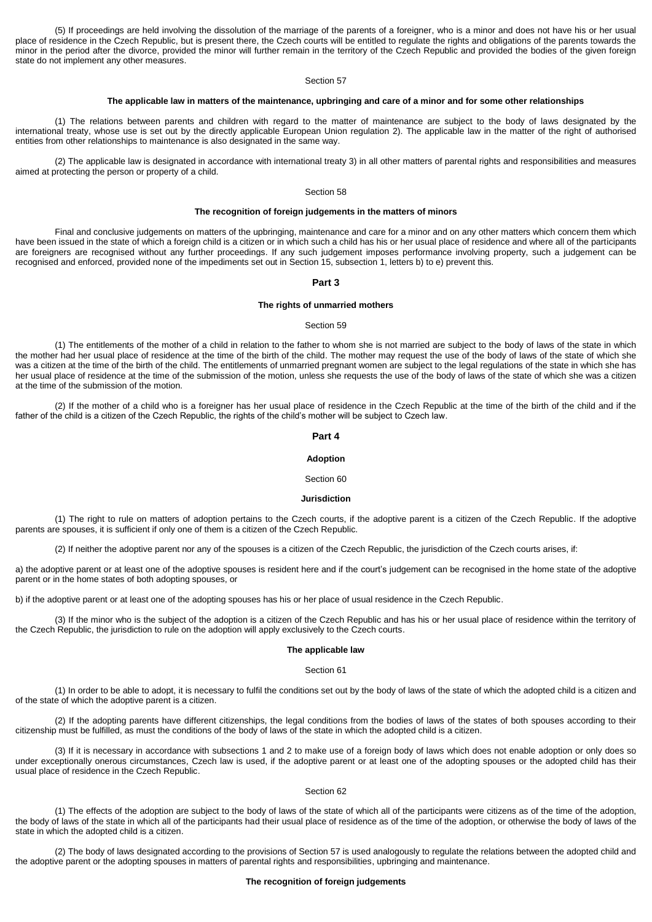(5) If proceedings are held involving the dissolution of the marriage of the parents of a foreigner, who is a minor and does not have his or her usual place of residence in the Czech Republic, but is present there, the Czech courts will be entitled to regulate the rights and obligations of the parents towards the minor in the period after the divorce, provided the minor will further remain in the territory of the Czech Republic and provided the bodies of the given foreign state do not implement any other measures.

## Section 57

## **The applicable law in matters of the maintenance, upbringing and care of a minor and for some other relationships**

(1) The relations between parents and children with regard to the matter of maintenance are subject to the body of laws designated by the international treaty, whose use is set out by the directly applicable European Union regulation 2). The applicable law in the matter of the right of authorised entities from other relationships to maintenance is also designated in the same way.

(2) The applicable law is designated in accordance with international treaty 3) in all other matters of parental rights and responsibilities and measures aimed at protecting the person or property of a child.

## Section 58

### **The recognition of foreign judgements in the matters of minors**

Final and conclusive judgements on matters of the upbringing, maintenance and care for a minor and on any other matters which concern them which have been issued in the state of which a foreign child is a citizen or in which such a child has his or her usual place of residence and where all of the participants are foreigners are recognised without any further proceedings. If any such judgement imposes performance involving property, such a judgement can be recognised and enforced, provided none of the impediments set out in Section 15, subsection 1, letters b) to e) prevent this.

#### **Part 3**

## **The rights of unmarried mothers**

### Section 59

(1) The entitlements of the mother of a child in relation to the father to whom she is not married are subject to the body of laws of the state in which the mother had her usual place of residence at the time of the birth of the child. The mother may request the use of the body of laws of the state of which she was a citizen at the time of the birth of the child. The entitlements of unmarried pregnant women are subject to the legal regulations of the state in which she has her usual place of residence at the time of the submission of the motion, unless she requests the use of the body of laws of the state of which she was a citizen at the time of the submission of the motion.

(2) If the mother of a child who is a foreigner has her usual place of residence in the Czech Republic at the time of the birth of the child and if the father of the child is a citizen of the Czech Republic, the rights of the child's mother will be subject to Czech law.

### **Part 4**

#### **Adoption**

#### Section 60

## **Jurisdiction**

(1) The right to rule on matters of adoption pertains to the Czech courts, if the adoptive parent is a citizen of the Czech Republic. If the adoptive parents are spouses, it is sufficient if only one of them is a citizen of the Czech Republic.

(2) If neither the adoptive parent nor any of the spouses is a citizen of the Czech Republic, the jurisdiction of the Czech courts arises, if:

a) the adoptive parent or at least one of the adoptive spouses is resident here and if the court's judgement can be recognised in the home state of the adoptive parent or in the home states of both adopting spouses, or

b) if the adoptive parent or at least one of the adopting spouses has his or her place of usual residence in the Czech Republic.

(3) If the minor who is the subject of the adoption is a citizen of the Czech Republic and has his or her usual place of residence within the territory of the Czech Republic, the jurisdiction to rule on the adoption will apply exclusively to the Czech courts.

### **The applicable law**

### Section 61

(1) In order to be able to adopt, it is necessary to fulfil the conditions set out by the body of laws of the state of which the adopted child is a citizen and of the state of which the adoptive parent is a citizen.

(2) If the adopting parents have different citizenships, the legal conditions from the bodies of laws of the states of both spouses according to their citizenship must be fulfilled, as must the conditions of the body of laws of the state in which the adopted child is a citizen.

(3) If it is necessary in accordance with subsections 1 and 2 to make use of a foreign body of laws which does not enable adoption or only does so under exceptionally onerous circumstances, Czech law is used, if the adoptive parent or at least one of the adopting spouses or the adopted child has their usual place of residence in the Czech Republic.

### Section 62

(1) The effects of the adoption are subject to the body of laws of the state of which all of the participants were citizens as of the time of the adoption, the body of laws of the state in which all of the participants had their usual place of residence as of the time of the adoption, or otherwise the body of laws of the state in which the adopted child is a citizen.

(2) The body of laws designated according to the provisions of Section 57 is used analogously to regulate the relations between the adopted child and the adoptive parent or the adopting spouses in matters of parental rights and responsibilities, upbringing and maintenance.

## **The recognition of foreign judgements**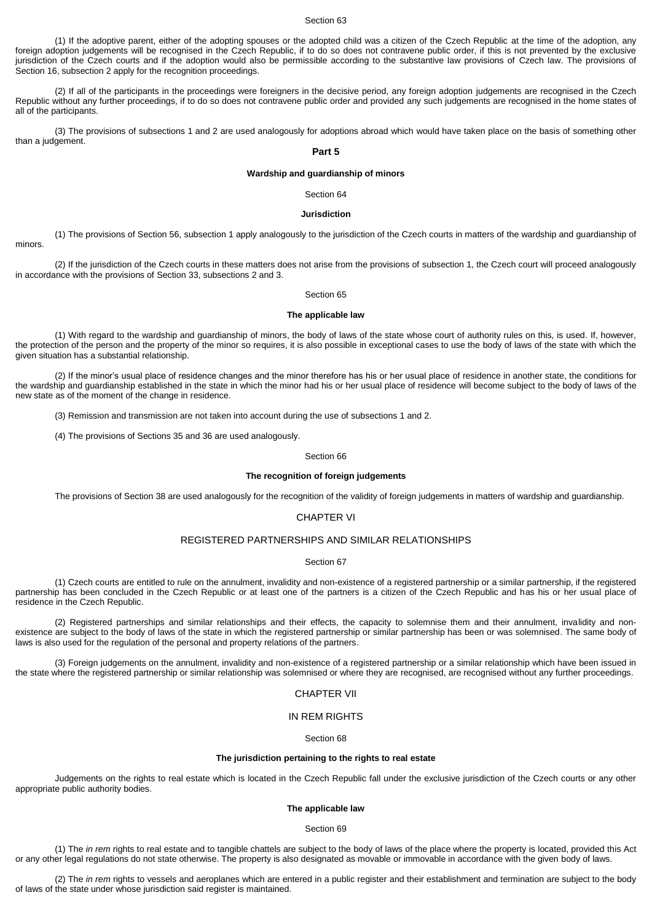(1) If the adoptive parent, either of the adopting spouses or the adopted child was a citizen of the Czech Republic at the time of the adoption, any foreign adoption judgements will be recognised in the Czech Republic, if to do so does not contravene public order, if this is not prevented by the exclusive jurisdiction of the Czech courts and if the adoption would also be permissible according to the substantive law provisions of Czech law. The provisions of Section 16, subsection 2 apply for the recognition proceedings.

(2) If all of the participants in the proceedings were foreigners in the decisive period, any foreign adoption judgements are recognised in the Czech Republic without any further proceedings, if to do so does not contravene public order and provided any such judgements are recognised in the home states of all of the participants.

(3) The provisions of subsections 1 and 2 are used analogously for adoptions abroad which would have taken place on the basis of something other than a judgement.

### **Part 5**

## **Wardship and guardianship of minors**

Section 64

#### **Jurisdiction**

(1) The provisions of Section 56, subsection 1 apply analogously to the jurisdiction of the Czech courts in matters of the wardship and guardianship of minors.

(2) If the jurisdiction of the Czech courts in these matters does not arise from the provisions of subsection 1, the Czech court will proceed analogously in accordance with the provisions of Section 33, subsections 2 and 3.

### Section 65

### **The applicable law**

(1) With regard to the wardship and guardianship of minors, the body of laws of the state whose court of authority rules on this, is used. If, however, the protection of the person and the property of the minor so requires, it is also possible in exceptional cases to use the body of laws of the state with which the given situation has a substantial relationship.

(2) If the minor's usual place of residence changes and the minor therefore has his or her usual place of residence in another state, the conditions for the wardship and guardianship established in the state in which the minor had his or her usual place of residence will become subject to the body of laws of the new state as of the moment of the change in residence.

(3) Remission and transmission are not taken into account during the use of subsections 1 and 2.

(4) The provisions of Sections 35 and 36 are used analogously.

#### Section 66

## **The recognition of foreign judgements**

The provisions of Section 38 are used analogously for the recognition of the validity of foreign judgements in matters of wardship and guardianship.

## CHAPTER VI

## REGISTERED PARTNERSHIPS AND SIMILAR RELATIONSHIPS

### Section 67

(1) Czech courts are entitled to rule on the annulment, invalidity and non-existence of a registered partnership or a similar partnership, if the registered partnership has been concluded in the Czech Republic or at least one of the partners is a citizen of the Czech Republic and has his or her usual place of residence in the Czech Republic.

(2) Registered partnerships and similar relationships and their effects, the capacity to solemnise them and their annulment, invalidity and nonexistence are subject to the body of laws of the state in which the registered partnership or similar partnership has been or was solemnised. The same body of laws is also used for the regulation of the personal and property relations of the partners.

(3) Foreign judgements on the annulment, invalidity and non-existence of a registered partnership or a similar relationship which have been issued in the state where the registered partnership or similar relationship was solemnised or where they are recognised, are recognised without any further proceedings.

## CHAPTER VII

## IN REM RIGHTS

## Section 68

## **The jurisdiction pertaining to the rights to real estate**

Judgements on the rights to real estate which is located in the Czech Republic fall under the exclusive jurisdiction of the Czech courts or any other appropriate public authority bodies.

## **The applicable law**

### Section 69

(1) The *in rem* rights to real estate and to tangible chattels are subject to the body of laws of the place where the property is located, provided this Act or any other legal regulations do not state otherwise. The property is also designated as movable or immovable in accordance with the given body of laws.

(2) The *in rem* rights to vessels and aeroplanes which are entered in a public register and their establishment and termination are subject to the body of laws of the state under whose jurisdiction said register is maintained.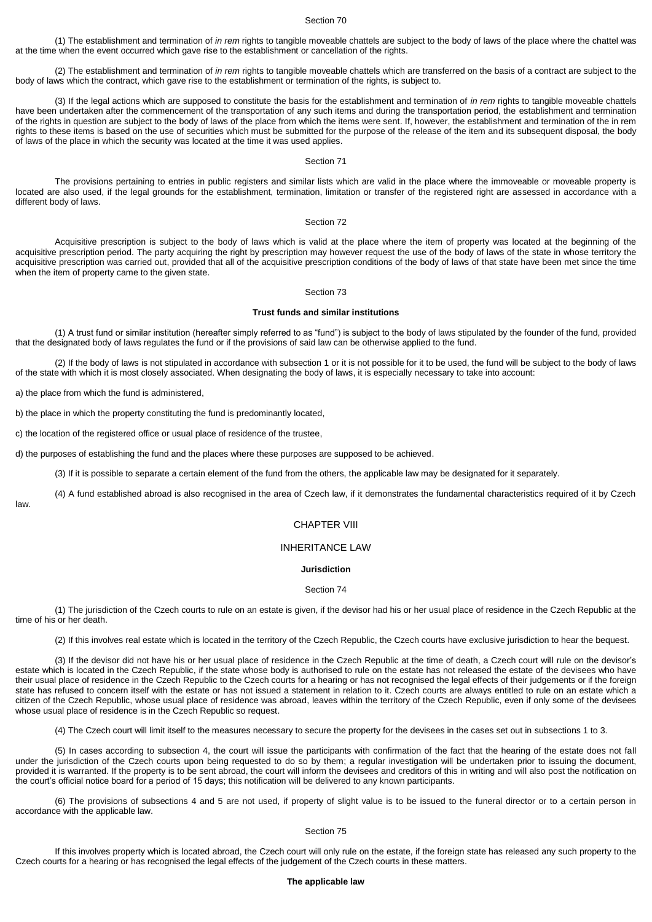(1) The establishment and termination of *in rem* rights to tangible moveable chattels are subject to the body of laws of the place where the chattel was at the time when the event occurred which gave rise to the establishment or cancellation of the rights.

(2) The establishment and termination of *in rem* rights to tangible moveable chattels which are transferred on the basis of a contract are subject to the body of laws which the contract, which gave rise to the establishment or termination of the rights, is subject to.

(3) If the legal actions which are supposed to constitute the basis for the establishment and termination of *in rem* rights to tangible moveable chattels have been undertaken after the commencement of the transportation of any such items and during the transportation period, the establishment and termination of the rights in question are subject to the body of laws of the place from which the items were sent. If, however, the establishment and termination of the in rem rights to these items is based on the use of securities which must be submitted for the purpose of the release of the item and its subsequent disposal, the body of laws of the place in which the security was located at the time it was used applies.

#### Section 71

The provisions pertaining to entries in public registers and similar lists which are valid in the place where the immoveable or moveable property is located are also used, if the legal grounds for the establishment, termination, limitation or transfer of the registered right are assessed in accordance with a different body of laws.

### Section 72

Acquisitive prescription is subject to the body of laws which is valid at the place where the item of property was located at the beginning of the acquisitive prescription period. The party acquiring the right by prescription may however request the use of the body of laws of the state in whose territory the acquisitive prescription was carried out, provided that all of the acquisitive prescription conditions of the body of laws of that state have been met since the time when the item of property came to the given state.

### Section 73

### **Trust funds and similar institutions**

(1) A trust fund or similar institution (hereafter simply referred to as "fund") is subject to the body of laws stipulated by the founder of the fund, provided that the designated body of laws regulates the fund or if the provisions of said law can be otherwise applied to the fund.

(2) If the body of laws is not stipulated in accordance with subsection 1 or it is not possible for it to be used, the fund will be subject to the body of laws of the state with which it is most closely associated. When designating the body of laws, it is especially necessary to take into account:

a) the place from which the fund is administered,

b) the place in which the property constituting the fund is predominantly located,

c) the location of the registered office or usual place of residence of the trustee,

d) the purposes of establishing the fund and the places where these purposes are supposed to be achieved.

(3) If it is possible to separate a certain element of the fund from the others, the applicable law may be designated for it separately.

(4) A fund established abroad is also recognised in the area of Czech law, if it demonstrates the fundamental characteristics required of it by Czech

law.

### CHAPTER VIII

# INHERITANCE LAW

## **Jurisdiction**

### Section 74

(1) The jurisdiction of the Czech courts to rule on an estate is given, if the devisor had his or her usual place of residence in the Czech Republic at the time of his or her death.

(2) If this involves real estate which is located in the territory of the Czech Republic, the Czech courts have exclusive jurisdiction to hear the bequest.

(3) If the devisor did not have his or her usual place of residence in the Czech Republic at the time of death, a Czech court will rule on the devisor's estate which is located in the Czech Republic, if the state whose body is authorised to rule on the estate has not released the estate of the devisees who have their usual place of residence in the Czech Republic to the Czech courts for a hearing or has not recognised the legal effects of their judgements or if the foreign state has refused to concern itself with the estate or has not issued a statement in relation to it. Czech courts are always entitled to rule on an estate which a citizen of the Czech Republic, whose usual place of residence was abroad, leaves within the territory of the Czech Republic, even if only some of the devisees whose usual place of residence is in the Czech Republic so request.

(4) The Czech court will limit itself to the measures necessary to secure the property for the devisees in the cases set out in subsections 1 to 3.

(5) In cases according to subsection 4, the court will issue the participants with confirmation of the fact that the hearing of the estate does not fall under the jurisdiction of the Czech courts upon being requested to do so by them; a regular investigation will be undertaken prior to issuing the document, provided it is warranted. If the property is to be sent abroad, the court will inform the devisees and creditors of this in writing and will also post the notification on the court's official notice board for a period of 15 days; this notification will be delivered to any known participants.

(6) The provisions of subsections 4 and 5 are not used, if property of slight value is to be issued to the funeral director or to a certain person in accordance with the applicable law.

## Section 75

If this involves property which is located abroad, the Czech court will only rule on the estate, if the foreign state has released any such property to the Czech courts for a hearing or has recognised the legal effects of the judgement of the Czech courts in these matters.

## **The applicable law**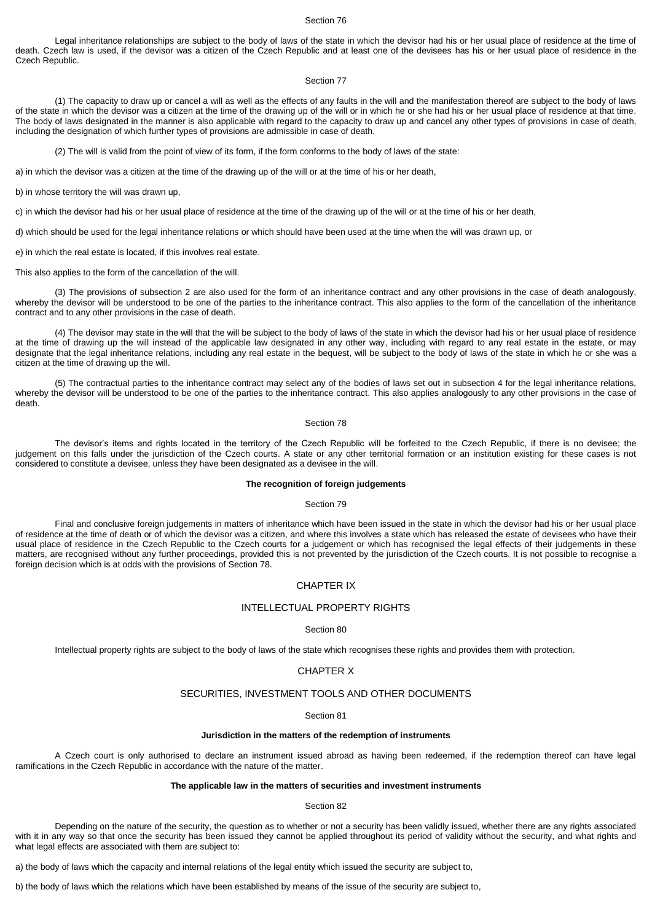Legal inheritance relationships are subject to the body of laws of the state in which the devisor had his or her usual place of residence at the time of death. Czech law is used, if the devisor was a citizen of the Czech Republic and at least one of the devisees has his or her usual place of residence in the Czech Republic.

## Section 77

(1) The capacity to draw up or cancel a will as well as the effects of any faults in the will and the manifestation thereof are subject to the body of laws of the state in which the devisor was a citizen at the time of the drawing up of the will or in which he or she had his or her usual place of residence at that time. The body of laws designated in the manner is also applicable with regard to the capacity to draw up and cancel any other types of provisions in case of death, including the designation of which further types of provisions are admissible in case of death.

(2) The will is valid from the point of view of its form, if the form conforms to the body of laws of the state:

a) in which the devisor was a citizen at the time of the drawing up of the will or at the time of his or her death,

b) in whose territory the will was drawn up,

c) in which the devisor had his or her usual place of residence at the time of the drawing up of the will or at the time of his or her death,

d) which should be used for the legal inheritance relations or which should have been used at the time when the will was drawn up, or

e) in which the real estate is located, if this involves real estate.

This also applies to the form of the cancellation of the will.

(3) The provisions of subsection 2 are also used for the form of an inheritance contract and any other provisions in the case of death analogously, whereby the devisor will be understood to be one of the parties to the inheritance contract. This also applies to the form of the cancellation of the inheritance contract and to any other provisions in the case of death.

(4) The devisor may state in the will that the will be subject to the body of laws of the state in which the devisor had his or her usual place of residence at the time of drawing up the will instead of the applicable law designated in any other way, including with regard to any real estate in the estate, or may designate that the legal inheritance relations, including any real estate in the bequest, will be subject to the body of laws of the state in which he or she was a citizen at the time of drawing up the will.

(5) The contractual parties to the inheritance contract may select any of the bodies of laws set out in subsection 4 for the legal inheritance relations, whereby the devisor will be understood to be one of the parties to the inheritance contract. This also applies analogously to any other provisions in the case of death.

## Section 78

The devisor's items and rights located in the territory of the Czech Republic will be forfeited to the Czech Republic, if there is no devisee; the judgement on this falls under the jurisdiction of the Czech courts. A state or any other territorial formation or an institution existing for these cases is not considered to constitute a devisee, unless they have been designated as a devisee in the will.

## **The recognition of foreign judgements**

#### Section 79

Final and conclusive foreign judgements in matters of inheritance which have been issued in the state in which the devisor had his or her usual place of residence at the time of death or of which the devisor was a citizen, and where this involves a state which has released the estate of devisees who have their usual place of residence in the Czech Republic to the Czech courts for a judgement or which has recognised the legal effects of their judgements in these matters, are recognised without any further proceedings, provided this is not prevented by the jurisdiction of the Czech courts. It is not possible to recognise a foreign decision which is at odds with the provisions of Section 78.

# CHAPTER IX

## INTELLECTUAL PROPERTY RIGHTS

## Section 80

Intellectual property rights are subject to the body of laws of the state which recognises these rights and provides them with protection.

## CHAPTER X

## SECURITIES, INVESTMENT TOOLS AND OTHER DOCUMENTS

#### Section 81

### **Jurisdiction in the matters of the redemption of instruments**

A Czech court is only authorised to declare an instrument issued abroad as having been redeemed, if the redemption thereof can have legal ramifications in the Czech Republic in accordance with the nature of the matter.

### **The applicable law in the matters of securities and investment instruments**

#### Section 82

Depending on the nature of the security, the question as to whether or not a security has been validly issued, whether there are any rights associated with it in any way so that once the security has been issued they cannot be applied throughout its period of validity without the security, and what rights and what legal effects are associated with them are subject to:

a) the body of laws which the capacity and internal relations of the legal entity which issued the security are subject to,

b) the body of laws which the relations which have been established by means of the issue of the security are subject to,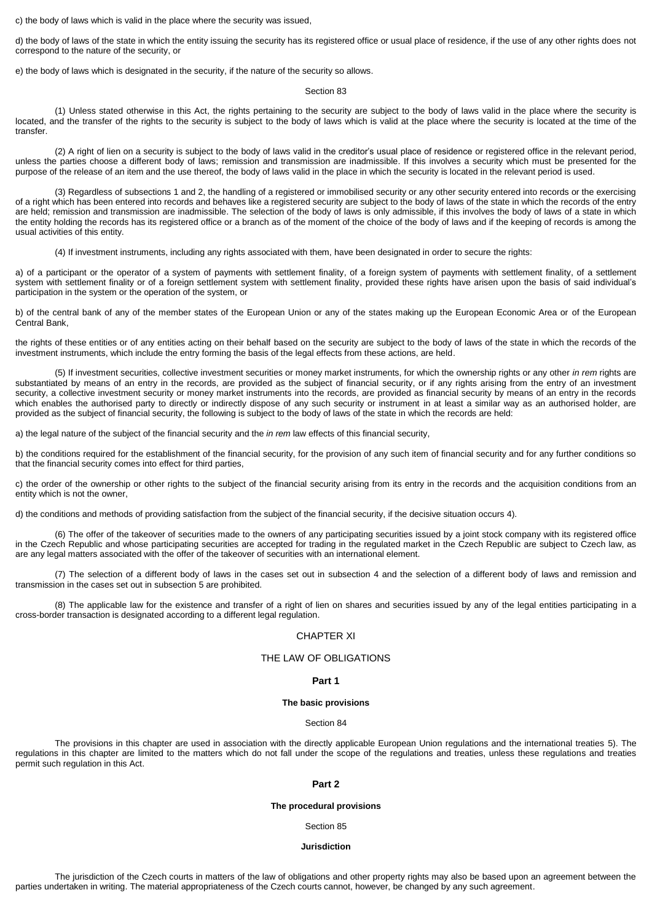c) the body of laws which is valid in the place where the security was issued,

d) the body of laws of the state in which the entity issuing the security has its registered office or usual place of residence, if the use of any other rights does not correspond to the nature of the security, or

e) the body of laws which is designated in the security, if the nature of the security so allows.

### Section 83

(1) Unless stated otherwise in this Act, the rights pertaining to the security are subject to the body of laws valid in the place where the security is located, and the transfer of the rights to the security is subject to the body of laws which is valid at the place where the security is located at the time of the transfer.

(2) A right of lien on a security is subject to the body of laws valid in the creditor's usual place of residence or registered office in the relevant period, unless the parties choose a different body of laws; remission and transmission are inadmissible. If this involves a security which must be presented for the purpose of the release of an item and the use thereof, the body of laws valid in the place in which the security is located in the relevant period is used.

(3) Regardless of subsections 1 and 2, the handling of a registered or immobilised security or any other security entered into records or the exercising of a right which has been entered into records and behaves like a registered security are subject to the body of laws of the state in which the records of the entry are held; remission and transmission are inadmissible. The selection of the body of laws is only admissible, if this involves the body of laws of a state in which the entity holding the records has its registered office or a branch as of the moment of the choice of the body of laws and if the keeping of records is among the usual activities of this entity.

(4) If investment instruments, including any rights associated with them, have been designated in order to secure the rights:

a) of a participant or the operator of a system of payments with settlement finality, of a foreign system of payments with settlement finality, of a settlement system with settlement finality or of a foreign settlement system with settlement finality, provided these rights have arisen upon the basis of said individual's participation in the system or the operation of the system, or

b) of the central bank of any of the member states of the European Union or any of the states making up the European Economic Area or of the European Central Bank,

the rights of these entities or of any entities acting on their behalf based on the security are subject to the body of laws of the state in which the records of the investment instruments, which include the entry forming the basis of the legal effects from these actions, are held.

(5) If investment securities, collective investment securities or money market instruments, for which the ownership rights or any other *in rem* rights are substantiated by means of an entry in the records, are provided as the subject of financial security, or if any rights arising from the entry of an investment security, a collective investment security or money market instruments into the records, are provided as financial security by means of an entry in the records which enables the authorised party to directly or indirectly dispose of any such security or instrument in at least a similar way as an authorised holder, are provided as the subject of financial security, the following is subject to the body of laws of the state in which the records are held:

a) the legal nature of the subject of the financial security and the *in rem* law effects of this financial security,

b) the conditions required for the establishment of the financial security, for the provision of any such item of financial security and for any further conditions so that the financial security comes into effect for third parties,

c) the order of the ownership or other rights to the subject of the financial security arising from its entry in the records and the acquisition conditions from an entity which is not the owner,

d) the conditions and methods of providing satisfaction from the subject of the financial security, if the decisive situation occurs 4).

(6) The offer of the takeover of securities made to the owners of any participating securities issued by a joint stock company with its registered office in the Czech Republic and whose participating securities are accepted for trading in the regulated market in the Czech Republic are subject to Czech law, as are any legal matters associated with the offer of the takeover of securities with an international element.

(7) The selection of a different body of laws in the cases set out in subsection 4 and the selection of a different body of laws and remission and transmission in the cases set out in subsection 5 are prohibited.

(8) The applicable law for the existence and transfer of a right of lien on shares and securities issued by any of the legal entities participating in a cross-border transaction is designated according to a different legal regulation.

### CHAPTER XI

## THE LAW OF OBLIGATIONS

### **Part 1**

#### **The basic provisions**

## Section 84

The provisions in this chapter are used in association with the directly applicable European Union regulations and the international treaties 5). The regulations in this chapter are limited to the matters which do not fall under the scope of the regulations and treaties, unless these regulations and treaties permit such regulation in this Act.

## **Part 2**

### **The procedural provisions**

Section 85

## **Jurisdiction**

The jurisdiction of the Czech courts in matters of the law of obligations and other property rights may also be based upon an agreement between the parties undertaken in writing. The material appropriateness of the Czech courts cannot, however, be changed by any such agreement.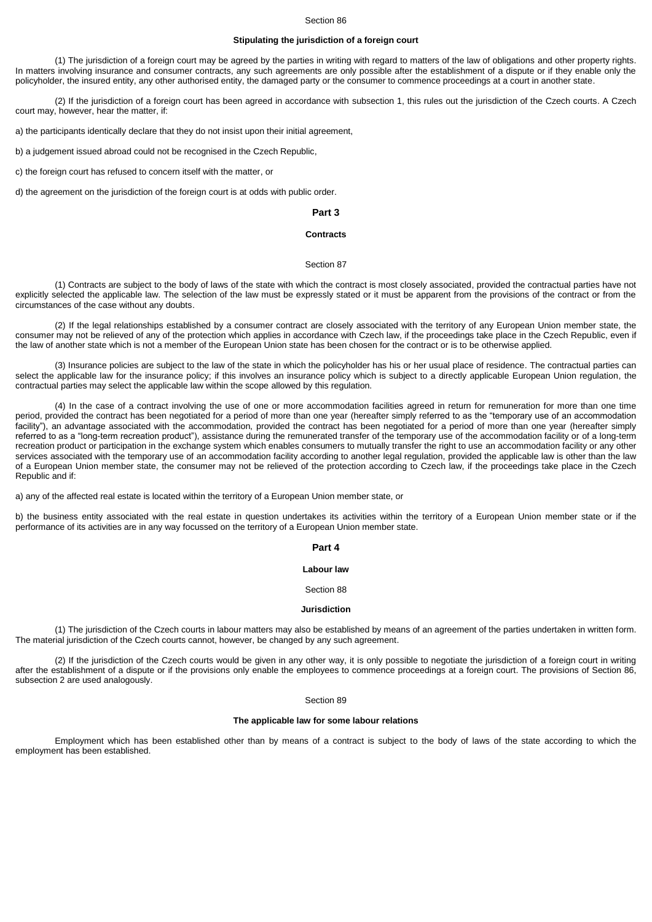## **Stipulating the jurisdiction of a foreign court**

(1) The jurisdiction of a foreign court may be agreed by the parties in writing with regard to matters of the law of obligations and other property rights. In matters involving insurance and consumer contracts, any such agreements are only possible after the establishment of a dispute or if they enable only the policyholder, the insured entity, any other authorised entity, the damaged party or the consumer to commence proceedings at a court in another state.

(2) If the jurisdiction of a foreign court has been agreed in accordance with subsection 1, this rules out the jurisdiction of the Czech courts. A Czech court may, however, hear the matter, if:

a) the participants identically declare that they do not insist upon their initial agreement,

b) a judgement issued abroad could not be recognised in the Czech Republic,

c) the foreign court has refused to concern itself with the matter, or

d) the agreement on the jurisdiction of the foreign court is at odds with public order.

## **Part 3**

## **Contracts**

### Section 87

(1) Contracts are subject to the body of laws of the state with which the contract is most closely associated, provided the contractual parties have not explicitly selected the applicable law. The selection of the law must be expressly stated or it must be apparent from the provisions of the contract or from the circumstances of the case without any doubts.

(2) If the legal relationships established by a consumer contract are closely associated with the territory of any European Union member state, the consumer may not be relieved of any of the protection which applies in accordance with Czech law, if the proceedings take place in the Czech Republic, even if the law of another state which is not a member of the European Union state has been chosen for the contract or is to be otherwise applied.

(3) Insurance policies are subject to the law of the state in which the policyholder has his or her usual place of residence. The contractual parties can select the applicable law for the insurance policy; if this involves an insurance policy which is subject to a directly applicable European Union regulation, the contractual parties may select the applicable law within the scope allowed by this regulation.

(4) In the case of a contract involving the use of one or more accommodation facilities agreed in return for remuneration for more than one time period, provided the contract has been negotiated for a period of more than one year (hereafter simply referred to as the "temporary use of an accommodation facility"), an advantage associated with the accommodation, provided the contract has been negotiated for a period of more than one year (hereafter simply referred to as a "long-term recreation product"), assistance during the remunerated transfer of the temporary use of the accommodation facility or of a long-term recreation product or participation in the exchange system which enables consumers to mutually transfer the right to use an accommodation facility or any other services associated with the temporary use of an accommodation facility according to another legal regulation, provided the applicable law is other than the law of a European Union member state, the consumer may not be relieved of the protection according to Czech law, if the proceedings take place in the Czech Republic and if:

a) any of the affected real estate is located within the territory of a European Union member state, or

b) the business entity associated with the real estate in question undertakes its activities within the territory of a European Union member state or if the performance of its activities are in any way focussed on the territory of a European Union member state.

### **Part 4**

## **Labour law**

### Section 88

## **Jurisdiction**

(1) The jurisdiction of the Czech courts in labour matters may also be established by means of an agreement of the parties undertaken in written form. The material jurisdiction of the Czech courts cannot, however, be changed by any such agreement.

(2) If the jurisdiction of the Czech courts would be given in any other way, it is only possible to negotiate the jurisdiction of a foreign court in writing after the establishment of a dispute or if the provisions only enable the employees to commence proceedings at a foreign court. The provisions of Section 86, subsection 2 are used analogously.

Section 89

### **The applicable law for some labour relations**

Employment which has been established other than by means of a contract is subject to the body of laws of the state according to which the employment has been established.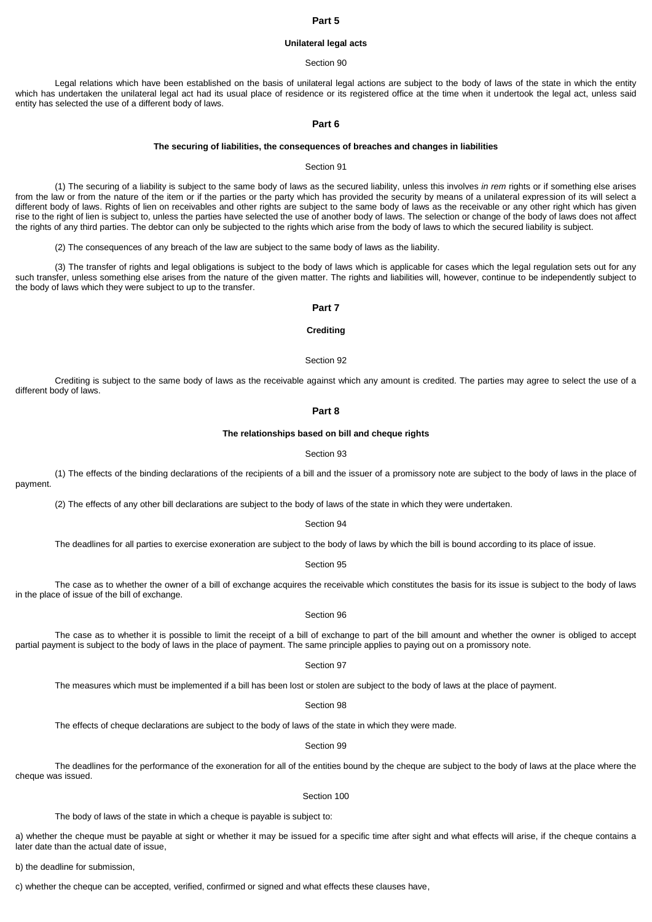## **Part 5**

## **Unilateral legal acts**

#### Section 90

Legal relations which have been established on the basis of unilateral legal actions are subject to the body of laws of the state in which the entity which has undertaken the unilateral legal act had its usual place of residence or its registered office at the time when it undertook the legal act, unless said entity has selected the use of a different body of laws.

## **Part 6**

#### **The securing of liabilities, the consequences of breaches and changes in liabilities**

#### Section 91

(1) The securing of a liability is subject to the same body of laws as the secured liability, unless this involves *in rem* rights or if something else arises from the law or from the nature of the item or if the parties or the party which has provided the security by means of a unilateral expression of its will select a different body of laws. Rights of lien on receivables and other rights are subject to the same body of laws as the receivable or any other right which has given rise to the right of lien is subject to, unless the parties have selected the use of another body of laws. The selection or change of the body of laws does not affect the rights of any third parties. The debtor can only be subjected to the rights which arise from the body of laws to which the secured liability is subject.

(2) The consequences of any breach of the law are subject to the same body of laws as the liability.

(3) The transfer of rights and legal obligations is subject to the body of laws which is applicable for cases which the legal regulation sets out for any such transfer, unless something else arises from the nature of the given matter. The rights and liabilities will, however, continue to be independently subject to the body of laws which they were subject to up to the transfer.

## **Part 7**

## **Crediting**

#### Section 92

Crediting is subject to the same body of laws as the receivable against which any amount is credited. The parties may agree to select the use of a different body of laws.

### **Part 8**

#### **The relationships based on bill and cheque rights**

#### Section 93

(1) The effects of the binding declarations of the recipients of a bill and the issuer of a promissory note are subject to the body of laws in the place of payment.

(2) The effects of any other bill declarations are subject to the body of laws of the state in which they were undertaken.

## Section 94

The deadlines for all parties to exercise exoneration are subject to the body of laws by which the bill is bound according to its place of issue.

### Section 95

The case as to whether the owner of a bill of exchange acquires the receivable which constitutes the basis for its issue is subject to the body of laws in the place of issue of the bill of exchange.

## Section 96

The case as to whether it is possible to limit the receipt of a bill of exchange to part of the bill amount and whether the owner is obliged to accept partial payment is subject to the body of laws in the place of payment. The same principle applies to paying out on a promissory note.

Section 97

The measures which must be implemented if a bill has been lost or stolen are subject to the body of laws at the place of payment.

Section 98

The effects of cheque declarations are subject to the body of laws of the state in which they were made.

Section 99

The deadlines for the performance of the exoneration for all of the entities bound by the cheque are subject to the body of laws at the place where the cheque was issued.

#### Section 100

The body of laws of the state in which a cheque is payable is subject to:

a) whether the cheque must be payable at sight or whether it may be issued for a specific time after sight and what effects will arise, if the cheque contains a later date than the actual date of issue,

b) the deadline for submission,

c) whether the cheque can be accepted, verified, confirmed or signed and what effects these clauses have,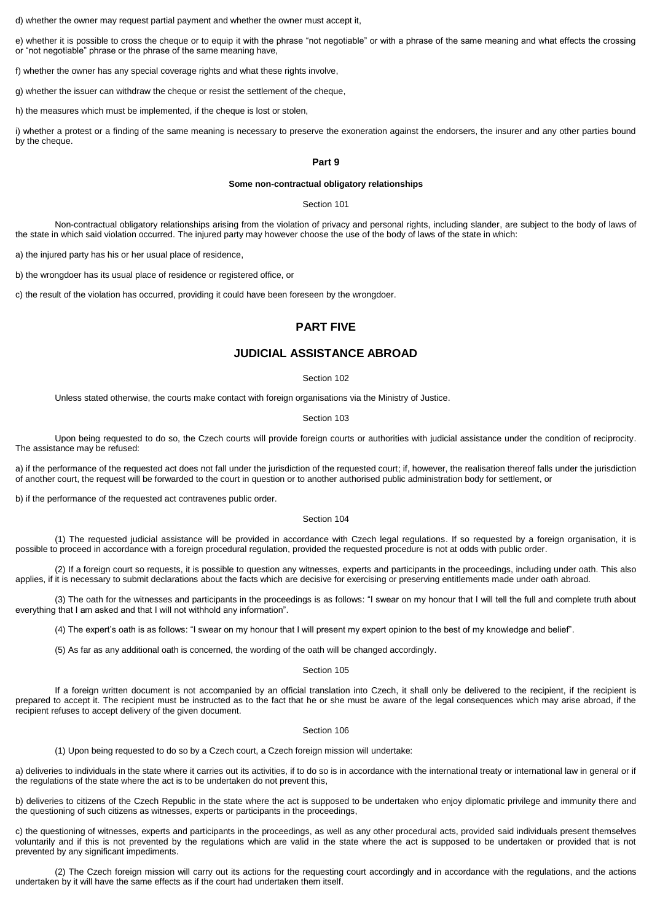d) whether the owner may request partial payment and whether the owner must accept it,

e) whether it is possible to cross the cheque or to equip it with the phrase "not negotiable" or with a phrase of the same meaning and what effects the crossing or "not negotiable" phrase or the phrase of the same meaning have,

f) whether the owner has any special coverage rights and what these rights involve,

g) whether the issuer can withdraw the cheque or resist the settlement of the cheque,

h) the measures which must be implemented, if the cheque is lost or stolen,

i) whether a protest or a finding of the same meaning is necessary to preserve the exoneration against the endorsers, the insurer and any other parties bound by the cheque.

## **Part 9**

## **Some non-contractual obligatory relationships**

Section 101

Non-contractual obligatory relationships arising from the violation of privacy and personal rights, including slander, are subject to the body of laws of the state in which said violation occurred. The injured party may however choose the use of the body of laws of the state in which:

a) the injured party has his or her usual place of residence,

b) the wrongdoer has its usual place of residence or registered office, or

c) the result of the violation has occurred, providing it could have been foreseen by the wrongdoer.

## **PART FIVE**

# **JUDICIAL ASSISTANCE ABROAD**

## Section 102

Unless stated otherwise, the courts make contact with foreign organisations via the Ministry of Justice.

#### Section 103

Upon being requested to do so, the Czech courts will provide foreign courts or authorities with judicial assistance under the condition of reciprocity. The assistance may be refused:

a) if the performance of the requested act does not fall under the jurisdiction of the requested court; if, however, the realisation thereof falls under the jurisdiction of another court, the request will be forwarded to the court in question or to another authorised public administration body for settlement, or

b) if the performance of the requested act contravenes public order.

## Section 104

(1) The requested judicial assistance will be provided in accordance with Czech legal regulations. If so requested by a foreign organisation, it is possible to proceed in accordance with a foreign procedural regulation, provided the requested procedure is not at odds with public order.

(2) If a foreign court so requests, it is possible to question any witnesses, experts and participants in the proceedings, including under oath. This also applies, if it is necessary to submit declarations about the facts which are decisive for exercising or preserving entitlements made under oath abroad.

(3) The oath for the witnesses and participants in the proceedings is as follows: "I swear on my honour that I will tell the full and complete truth about everything that I am asked and that I will not withhold any information".

(4) The expert's oath is as follows: "I swear on my honour that I will present my expert opinion to the best of my knowledge and belief".

(5) As far as any additional oath is concerned, the wording of the oath will be changed accordingly.

## Section 105

If a foreign written document is not accompanied by an official translation into Czech, it shall only be delivered to the recipient, if the recipient is prepared to accept it. The recipient must be instructed as to the fact that he or she must be aware of the legal consequences which may arise abroad, if the recipient refuses to accept delivery of the given document.

## Section 106

(1) Upon being requested to do so by a Czech court, a Czech foreign mission will undertake:

a) deliveries to individuals in the state where it carries out its activities, if to do so is in accordance with the international treaty or international law in general or if the regulations of the state where the act is to be undertaken do not prevent this,

b) deliveries to citizens of the Czech Republic in the state where the act is supposed to be undertaken who enjoy diplomatic privilege and immunity there and the questioning of such citizens as witnesses, experts or participants in the proceedings,

c) the questioning of witnesses, experts and participants in the proceedings, as well as any other procedural acts, provided said individuals present themselves voluntarily and if this is not prevented by the regulations which are valid in the state where the act is supposed to be undertaken or provided that is not prevented by any significant impediments.

(2) The Czech foreign mission will carry out its actions for the requesting court accordingly and in accordance with the regulations, and the actions undertaken by it will have the same effects as if the court had undertaken them itself.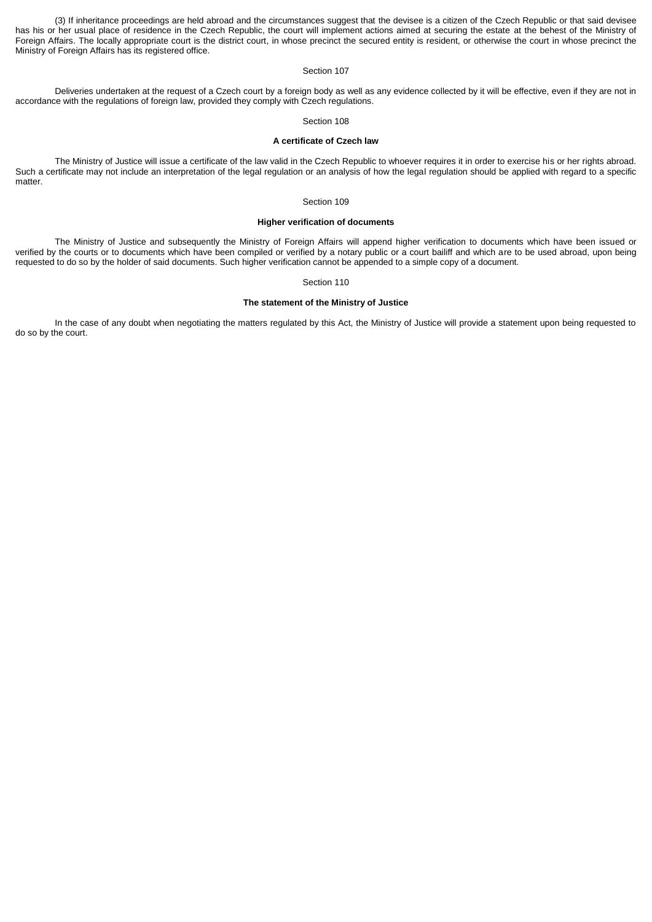(3) If inheritance proceedings are held abroad and the circumstances suggest that the devisee is a citizen of the Czech Republic or that said devisee has his or her usual place of residence in the Czech Republic, the court will implement actions aimed at securing the estate at the behest of the Ministry of Foreign Affairs. The locally appropriate court is the district court, in whose precinct the secured entity is resident, or otherwise the court in whose precinct the Ministry of Foreign Affairs has its registered office.

## Section 107

Deliveries undertaken at the request of a Czech court by a foreign body as well as any evidence collected by it will be effective, even if they are not in accordance with the regulations of foreign law, provided they comply with Czech regulations.

### Section 108

## **A certificate of Czech law**

The Ministry of Justice will issue a certificate of the law valid in the Czech Republic to whoever requires it in order to exercise his or her rights abroad. Such a certificate may not include an interpretation of the legal regulation or an analysis of how the legal regulation should be applied with regard to a specific matter.

### Section 109

## **Higher verification of documents**

The Ministry of Justice and subsequently the Ministry of Foreign Affairs will append higher verification to documents which have been issued or verified by the courts or to documents which have been compiled or verified by a notary public or a court bailiff and which are to be used abroad, upon being requested to do so by the holder of said documents. Such higher verification cannot be appended to a simple copy of a document.

### Section 110

### **The statement of the Ministry of Justice**

In the case of any doubt when negotiating the matters regulated by this Act, the Ministry of Justice will provide a statement upon being requested to do so by the court.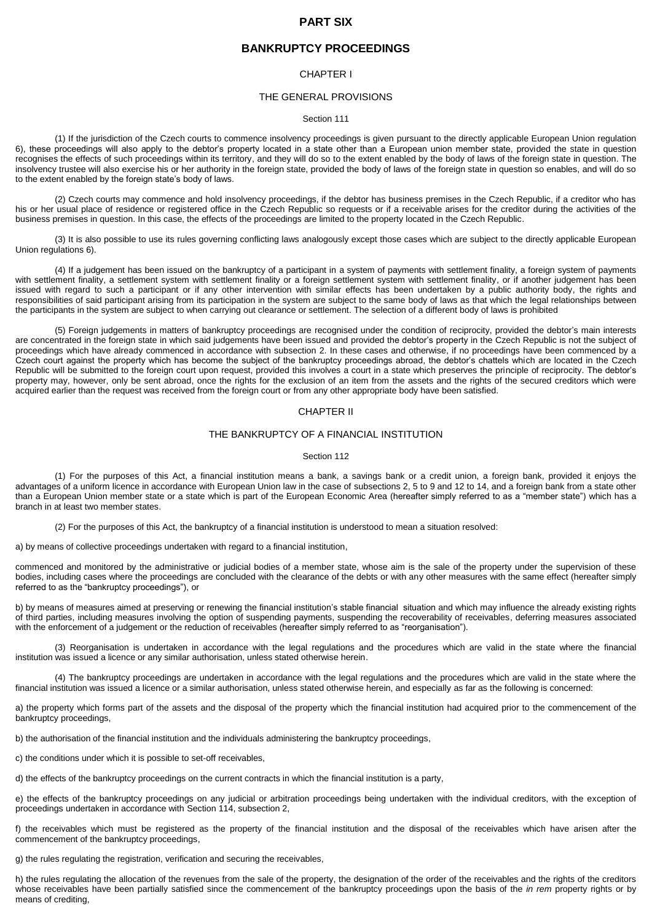## **PART SIX**

## **BANKRUPTCY PROCEEDINGS**

## CHAPTER I

## THE GENERAL PROVISIONS

### Section 111

(1) If the jurisdiction of the Czech courts to commence insolvency proceedings is given pursuant to the directly applicable European Union regulation 6), these proceedings will also apply to the debtor's property located in a state other than a European union member state, provided the state in question recognises the effects of such proceedings within its territory, and they will do so to the extent enabled by the body of laws of the foreign state in question. The insolvency trustee will also exercise his or her authority in the foreign state, provided the body of laws of the foreign state in question so enables, and will do so to the extent enabled by the foreign state's body of laws.

(2) Czech courts may commence and hold insolvency proceedings, if the debtor has business premises in the Czech Republic, if a creditor who has his or her usual place of residence or registered office in the Czech Republic so requests or if a receivable arises for the creditor during the activities of the business premises in question. In this case, the effects of the proceedings are limited to the property located in the Czech Republic.

(3) It is also possible to use its rules governing conflicting laws analogously except those cases which are subject to the directly applicable European Union regulations 6).

(4) If a judgement has been issued on the bankruptcy of a participant in a system of payments with settlement finality, a foreign system of payments with settlement finality, a settlement system with settlement finality or a foreign settlement system with settlement finality, or if another judgement has been issued with regard to such a participant or if any other intervention with similar effects has been undertaken by a public authority body, the rights and responsibilities of said participant arising from its participation in the system are subject to the same body of laws as that which the legal relationships between the participants in the system are subject to when carrying out clearance or settlement. The selection of a different body of laws is prohibited

(5) Foreign judgements in matters of bankruptcy proceedings are recognised under the condition of reciprocity, provided the debtor's main interests are concentrated in the foreign state in which said judgements have been issued and provided the debtor's property in the Czech Republic is not the subject of proceedings which have already commenced in accordance with subsection 2. In these cases and otherwise, if no proceedings have been commenced by a Czech court against the property which has become the subject of the bankruptcy proceedings abroad, the debtor's chattels which are located in the Czech Republic will be submitted to the foreign court upon request, provided this involves a court in a state which preserves the principle of reciprocity. The debtor's property may, however, only be sent abroad, once the rights for the exclusion of an item from the assets and the rights of the secured creditors which were acquired earlier than the request was received from the foreign court or from any other appropriate body have been satisfied.

## CHAPTER II

## THE BANKRUPTCY OF A FINANCIAL INSTITUTION

#### Section 112

(1) For the purposes of this Act, a financial institution means a bank, a savings bank or a credit union, a foreign bank, provided it enjoys the advantages of a uniform licence in accordance with European Union law in the case of subsections 2, 5 to 9 and 12 to 14, and a foreign bank from a state other than a European Union member state or a state which is part of the European Economic Area (hereafter simply referred to as a "member state") which has a branch in at least two member states.

(2) For the purposes of this Act, the bankruptcy of a financial institution is understood to mean a situation resolved:

a) by means of collective proceedings undertaken with regard to a financial institution,

commenced and monitored by the administrative or judicial bodies of a member state, whose aim is the sale of the property under the supervision of these bodies, including cases where the proceedings are concluded with the clearance of the debts or with any other measures with the same effect (hereafter simply referred to as the "bankruptcy proceedings"), or

b) by means of measures aimed at preserving or renewing the financial institution's stable financial situation and which may influence the already existing rights of third parties, including measures involving the option of suspending payments, suspending the recoverability of receivables, deferring measures associated with the enforcement of a judgement or the reduction of receivables (hereafter simply referred to as "reorganisation").

(3) Reorganisation is undertaken in accordance with the legal regulations and the procedures which are valid in the state where the financial institution was issued a licence or any similar authorisation, unless stated otherwise herein.

(4) The bankruptcy proceedings are undertaken in accordance with the legal regulations and the procedures which are valid in the state where the financial institution was issued a licence or a similar authorisation, unless stated otherwise herein, and especially as far as the following is concerned:

a) the property which forms part of the assets and the disposal of the property which the financial institution had acquired prior to the commencement of the bankruptcy proceedings,

b) the authorisation of the financial institution and the individuals administering the bankruptcy proceedings,

c) the conditions under which it is possible to set-off receivables,

d) the effects of the bankruptcy proceedings on the current contracts in which the financial institution is a party,

e) the effects of the bankruptcy proceedings on any judicial or arbitration proceedings being undertaken with the individual creditors, with the exception of proceedings undertaken in accordance with Section 114, subsection 2,

f) the receivables which must be registered as the property of the financial institution and the disposal of the receivables which have arisen after the commencement of the bankruptcy proceedings,

g) the rules regulating the registration, verification and securing the receivables,

h) the rules regulating the allocation of the revenues from the sale of the property, the designation of the order of the receivables and the rights of the creditors whose receivables have been partially satisfied since the commencement of the bankruptcy proceedings upon the basis of the *in rem* property rights or by means of crediting,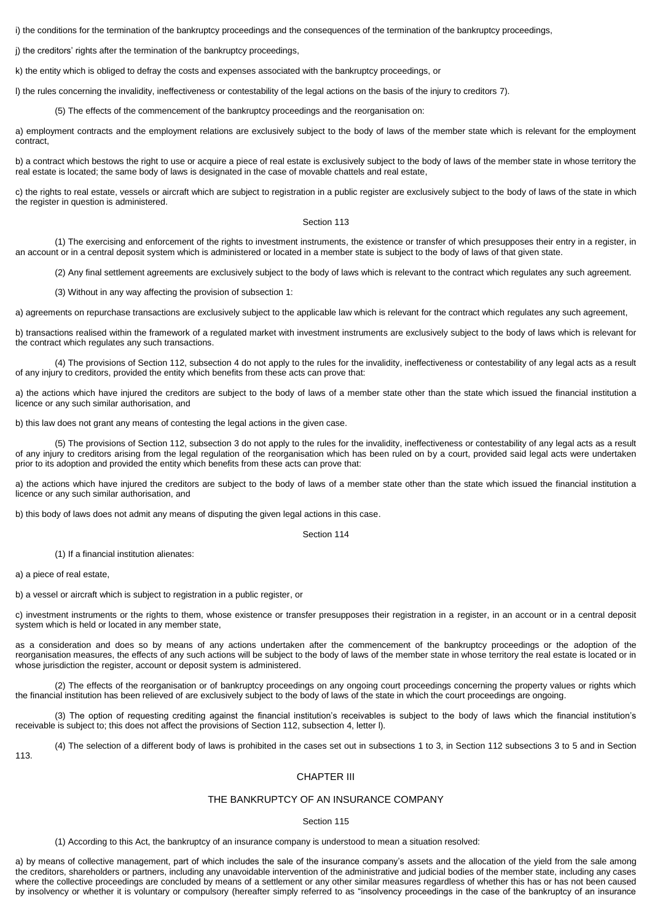i) the conditions for the termination of the bankruptcy proceedings and the consequences of the termination of the bankruptcy proceedings,

j) the creditors' rights after the termination of the bankruptcy proceedings,

k) the entity which is obliged to defray the costs and expenses associated with the bankruptcy proceedings, or

l) the rules concerning the invalidity, ineffectiveness or contestability of the legal actions on the basis of the injury to creditors 7).

(5) The effects of the commencement of the bankruptcy proceedings and the reorganisation on:

a) employment contracts and the employment relations are exclusively subject to the body of laws of the member state which is relevant for the employment contract,

b) a contract which bestows the right to use or acquire a piece of real estate is exclusively subject to the body of laws of the member state in whose territory the real estate is located; the same body of laws is designated in the case of movable chattels and real estate,

c) the rights to real estate, vessels or aircraft which are subject to registration in a public register are exclusively subject to the body of laws of the state in which the register in question is administered.

## Section 113

(1) The exercising and enforcement of the rights to investment instruments, the existence or transfer of which presupposes their entry in a register, in an account or in a central deposit system which is administered or located in a member state is subject to the body of laws of that given state.

(2) Any final settlement agreements are exclusively subject to the body of laws which is relevant to the contract which regulates any such agreement.

(3) Without in any way affecting the provision of subsection 1:

a) agreements on repurchase transactions are exclusively subject to the applicable law which is relevant for the contract which regulates any such agreement,

b) transactions realised within the framework of a regulated market with investment instruments are exclusively subject to the body of laws which is relevant for the contract which regulates any such transactions.

(4) The provisions of Section 112, subsection 4 do not apply to the rules for the invalidity, ineffectiveness or contestability of any legal acts as a result of any injury to creditors, provided the entity which benefits from these acts can prove that:

a) the actions which have injured the creditors are subject to the body of laws of a member state other than the state which issued the financial institution a licence or any such similar authorisation, and

b) this law does not grant any means of contesting the legal actions in the given case.

(5) The provisions of Section 112, subsection 3 do not apply to the rules for the invalidity, ineffectiveness or contestability of any legal acts as a result of any injury to creditors arising from the legal regulation of the reorganisation which has been ruled on by a court, provided said legal acts were undertaken prior to its adoption and provided the entity which benefits from these acts can prove that:

a) the actions which have injured the creditors are subject to the body of laws of a member state other than the state which issued the financial institution a licence or any such similar authorisation, and

b) this body of laws does not admit any means of disputing the given legal actions in this case.

Section 114

(1) If a financial institution alienates:

a) a piece of real estate,

b) a vessel or aircraft which is subject to registration in a public register, or

c) investment instruments or the rights to them, whose existence or transfer presupposes their registration in a register, in an account or in a central deposit system which is held or located in any member state,

as a consideration and does so by means of any actions undertaken after the commencement of the bankruptcy proceedings or the adoption of the reorganisation measures, the effects of any such actions will be subject to the body of laws of the member state in whose territory the real estate is located or in whose jurisdiction the register, account or deposit system is administered.

(2) The effects of the reorganisation or of bankruptcy proceedings on any ongoing court proceedings concerning the property values or rights which the financial institution has been relieved of are exclusively subject to the body of laws of the state in which the court proceedings are ongoing.

(3) The option of requesting crediting against the financial institution's receivables is subject to the body of laws which the financial institution's receivable is subject to; this does not affect the provisions of Section 112, subsection 4, letter l).

(4) The selection of a different body of laws is prohibited in the cases set out in subsections 1 to 3, in Section 112 subsections 3 to 5 and in Section 113.

## CHAPTER III

## THE BANKRUPTCY OF AN INSURANCE COMPANY

### Section 115

(1) According to this Act, the bankruptcy of an insurance company is understood to mean a situation resolved:

a) by means of collective management, part of which includes the sale of the insurance company's assets and the allocation of the yield from the sale among the creditors, shareholders or partners, including any unavoidable intervention of the administrative and judicial bodies of the member state, including any cases where the collective proceedings are concluded by means of a settlement or any other similar measures regardless of whether this has or has not been caused by insolvency or whether it is voluntary or compulsory (hereafter simply referred to as "insolvency proceedings in the case of the bankruptcy of an insurance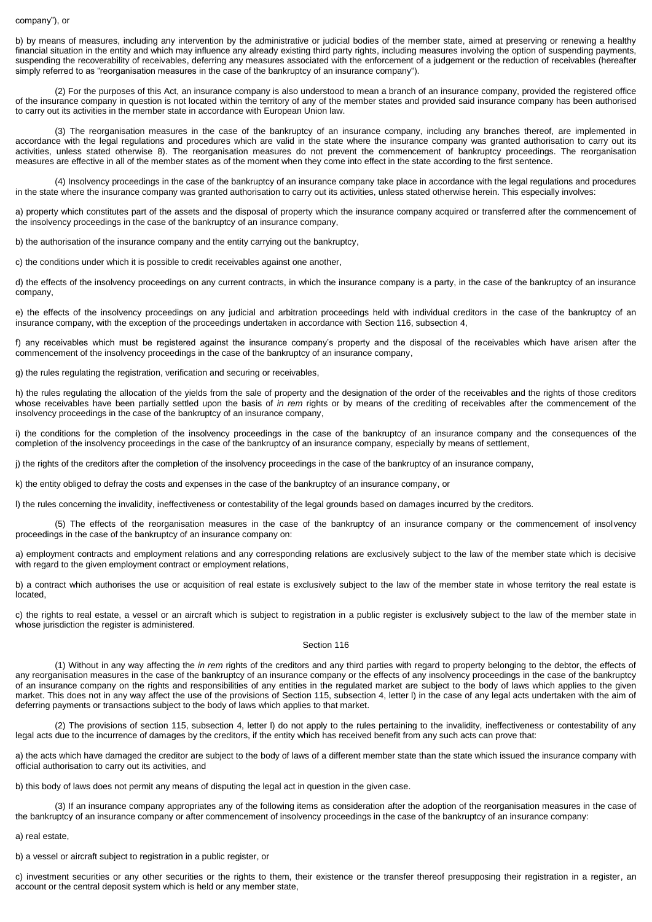### company"), or

b) by means of measures, including any intervention by the administrative or judicial bodies of the member state, aimed at preserving or renewing a healthy financial situation in the entity and which may influence any already existing third party rights, including measures involving the option of suspending payments, suspending the recoverability of receivables, deferring any measures associated with the enforcement of a judgement or the reduction of receivables (hereafter simply referred to as "reorganisation measures in the case of the bankruptcy of an insurance company").

(2) For the purposes of this Act, an insurance company is also understood to mean a branch of an insurance company, provided the registered office of the insurance company in question is not located within the territory of any of the member states and provided said insurance company has been authorised to carry out its activities in the member state in accordance with European Union law.

(3) The reorganisation measures in the case of the bankruptcy of an insurance company, including any branches thereof, are implemented in accordance with the legal regulations and procedures which are valid in the state where the insurance company was granted authorisation to carry out its activities, unless stated otherwise 8). The reorganisation measures do not prevent the commencement of bankruptcy proceedings. The reorganisation measures are effective in all of the member states as of the moment when they come into effect in the state according to the first sentence.

(4) Insolvency proceedings in the case of the bankruptcy of an insurance company take place in accordance with the legal regulations and procedures in the state where the insurance company was granted authorisation to carry out its activities, unless stated otherwise herein. This especially involves:

a) property which constitutes part of the assets and the disposal of property which the insurance company acquired or transferred after the commencement of the insolvency proceedings in the case of the bankruptcy of an insurance company,

b) the authorisation of the insurance company and the entity carrying out the bankruptcy,

c) the conditions under which it is possible to credit receivables against one another,

d) the effects of the insolvency proceedings on any current contracts, in which the insurance company is a party, in the case of the bankruptcy of an insurance company,

e) the effects of the insolvency proceedings on any judicial and arbitration proceedings held with individual creditors in the case of the bankruptcy of an insurance company, with the exception of the proceedings undertaken in accordance with Section 116, subsection 4,

f) any receivables which must be registered against the insurance company's property and the disposal of the receivables which have arisen after the commencement of the insolvency proceedings in the case of the bankruptcy of an insurance company,

g) the rules regulating the registration, verification and securing or receivables,

h) the rules regulating the allocation of the yields from the sale of property and the designation of the order of the receivables and the rights of those creditors whose receivables have been partially settled upon the basis of *in rem* rights or by means of the crediting of receivables after the commencement of the insolvency proceedings in the case of the bankruptcy of an insurance company,

i) the conditions for the completion of the insolvency proceedings in the case of the bankruptcy of an insurance company and the consequences of the completion of the insolvency proceedings in the case of the bankruptcy of an insurance company, especially by means of settlement,

j) the rights of the creditors after the completion of the insolvency proceedings in the case of the bankruptcy of an insurance company,

k) the entity obliged to defray the costs and expenses in the case of the bankruptcy of an insurance company, or

l) the rules concerning the invalidity, ineffectiveness or contestability of the legal grounds based on damages incurred by the creditors.

(5) The effects of the reorganisation measures in the case of the bankruptcy of an insurance company or the commencement of insolvency proceedings in the case of the bankruptcy of an insurance company on:

a) employment contracts and employment relations and any corresponding relations are exclusively subject to the law of the member state which is decisive with regard to the given employment contract or employment relations,

b) a contract which authorises the use or acquisition of real estate is exclusively subject to the law of the member state in whose territory the real estate is located,

c) the rights to real estate, a vessel or an aircraft which is subject to registration in a public register is exclusively subject to the law of the member state in whose jurisdiction the register is administered.

### Section 116

(1) Without in any way affecting the *in rem* rights of the creditors and any third parties with regard to property belonging to the debtor, the effects of any reorganisation measures in the case of the bankruptcy of an insurance company or the effects of any insolvency proceedings in the case of the bankruptcy of an insurance company on the rights and responsibilities of any entities in the regulated market are subject to the body of laws which applies to the given market. This does not in any way affect the use of the provisions of Section 115, subsection 4, letter l) in the case of any legal acts undertaken with the aim of deferring payments or transactions subject to the body of laws which applies to that market.

(2) The provisions of section 115, subsection 4, letter l) do not apply to the rules pertaining to the invalidity, ineffectiveness or contestability of any legal acts due to the incurrence of damages by the creditors, if the entity which has received benefit from any such acts can prove that:

a) the acts which have damaged the creditor are subject to the body of laws of a different member state than the state which issued the insurance company with official authorisation to carry out its activities, and

b) this body of laws does not permit any means of disputing the legal act in question in the given case.

(3) If an insurance company appropriates any of the following items as consideration after the adoption of the reorganisation measures in the case of the bankruptcy of an insurance company or after commencement of insolvency proceedings in the case of the bankruptcy of an insurance company:

a) real estate,

b) a vessel or aircraft subject to registration in a public register, or

c) investment securities or any other securities or the rights to them, their existence or the transfer thereof presupposing their registration in a register, an account or the central deposit system which is held or any member state,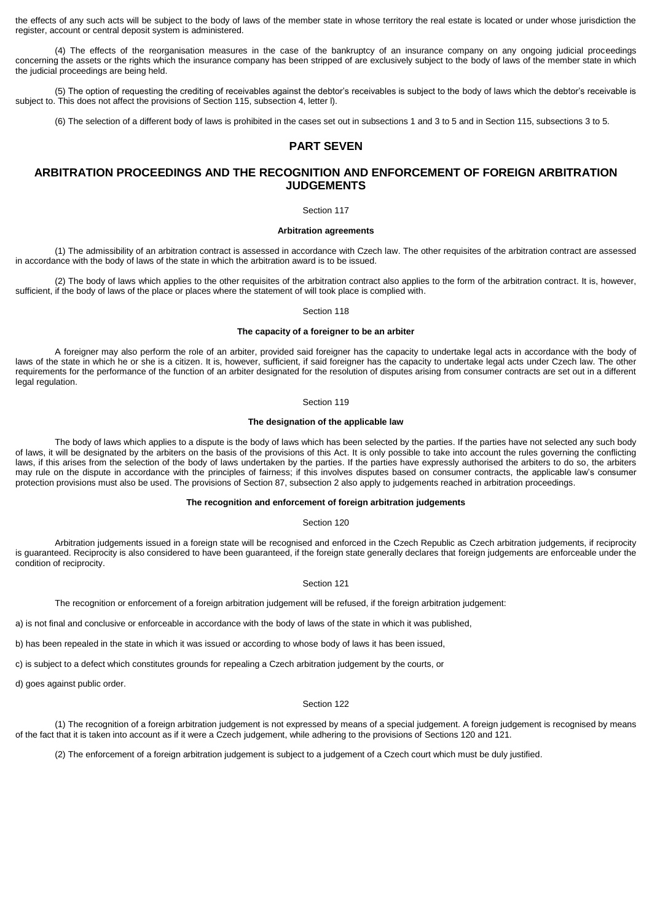the effects of any such acts will be subject to the body of laws of the member state in whose territory the real estate is located or under whose jurisdiction the register, account or central deposit system is administered.

(4) The effects of the reorganisation measures in the case of the bankruptcy of an insurance company on any ongoing judicial proceedings concerning the assets or the rights which the insurance company has been stripped of are exclusively subject to the body of laws of the member state in which the judicial proceedings are being held.

(5) The option of requesting the crediting of receivables against the debtor's receivables is subject to the body of laws which the debtor's receivable is subject to. This does not affect the provisions of Section 115, subsection 4, letter l).

(6) The selection of a different body of laws is prohibited in the cases set out in subsections 1 and 3 to 5 and in Section 115, subsections 3 to 5.

# **PART SEVEN**

# **ARBITRATION PROCEEDINGS AND THE RECOGNITION AND ENFORCEMENT OF FOREIGN ARBITRATION JUDGEMENTS**

### Section 117

## **Arbitration agreements**

(1) The admissibility of an arbitration contract is assessed in accordance with Czech law. The other requisites of the arbitration contract are assessed in accordance with the body of laws of the state in which the arbitration award is to be issued.

(2) The body of laws which applies to the other requisites of the arbitration contract also applies to the form of the arbitration contract. It is, however, sufficient, if the body of laws of the place or places where the statement of will took place is complied with.

Section 118

#### **The capacity of a foreigner to be an arbiter**

A foreigner may also perform the role of an arbiter, provided said foreigner has the capacity to undertake legal acts in accordance with the body of laws of the state in which he or she is a citizen. It is, however, sufficient, if said foreigner has the capacity to undertake legal acts under Czech law. The other requirements for the performance of the function of an arbiter designated for the resolution of disputes arising from consumer contracts are set out in a different legal regulation.

#### Section 119

### **The designation of the applicable law**

The body of laws which applies to a dispute is the body of laws which has been selected by the parties. If the parties have not selected any such body of laws, it will be designated by the arbiters on the basis of the provisions of this Act. It is only possible to take into account the rules governing the conflicting laws, if this arises from the selection of the body of laws undertaken by the parties. If the parties have expressly authorised the arbiters to do so, the arbiters may rule on the dispute in accordance with the principles of fairness; if this involves disputes based on consumer contracts, the applicable law's consumer protection provisions must also be used. The provisions of Section 87, subsection 2 also apply to judgements reached in arbitration proceedings.

#### **The recognition and enforcement of foreign arbitration judgements**

## Section 120

Arbitration judgements issued in a foreign state will be recognised and enforced in the Czech Republic as Czech arbitration judgements, if reciprocity is guaranteed. Reciprocity is also considered to have been guaranteed, if the foreign state generally declares that foreign judgements are enforceable under the condition of reciprocity.

#### Section 121

The recognition or enforcement of a foreign arbitration judgement will be refused, if the foreign arbitration judgement:

a) is not final and conclusive or enforceable in accordance with the body of laws of the state in which it was published,

b) has been repealed in the state in which it was issued or according to whose body of laws it has been issued,

c) is subject to a defect which constitutes grounds for repealing a Czech arbitration judgement by the courts, or

d) goes against public order.

### Section 122

(1) The recognition of a foreign arbitration judgement is not expressed by means of a special judgement. A foreign judgement is recognised by means of the fact that it is taken into account as if it were a Czech judgement, while adhering to the provisions of Sections 120 and 121.

(2) The enforcement of a foreign arbitration judgement is subject to a judgement of a Czech court which must be duly justified.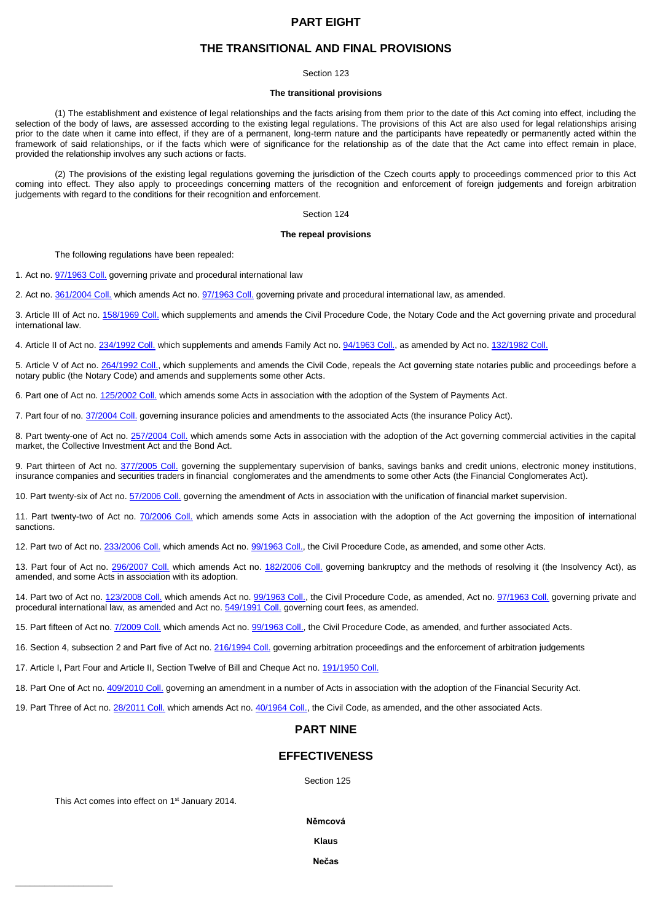# **PART EIGHT**

## **THE TRANSITIONAL AND FINAL PROVISIONS**

#### Section 123

### **The transitional provisions**

(1) The establishment and existence of legal relationships and the facts arising from them prior to the date of this Act coming into effect, including the selection of the body of laws, are assessed according to the existing legal regulations. The provisions of this Act are also used for legal relationships arising prior to the date when it came into effect, if they are of a permanent, long-term nature and the participants have repeatedly or permanently acted within the framework of said relationships, or if the facts which were of significance for the relationship as of the date that the Act came into effect remain in place, provided the relationship involves any such actions or facts.

(2) The provisions of the existing legal regulations governing the jurisdiction of the Czech courts apply to proceedings commenced prior to this Act coming into effect. They also apply to proceedings concerning matters of the recognition and enforcement of foreign judgements and foreign arbitration judgements with regard to the conditions for their recognition and enforcement.

### Section 124

## **The repeal provisions**

The following regulations have been repealed:

1. Act no[. 97/1963 Coll.](aspi://module=) governing private and procedural international law

2. Act no[. 361/2004 Coll.](aspi://module=) which amends Act no[. 97/1963](aspi://module=) Coll. governing private and procedural international law, as amended.

3. Article III of Act no[. 158/1969 Coll.](aspi://module=) which supplements and amends the Civil Procedure Code, the Notary Code and the Act governing private and procedural international law.

4. Article II of Act no. [234/1992 Coll.](aspi://module=) which supplements and amends Family Act no[. 94/1963 Coll.,](aspi://module=) as amended by Act no. [132/1982 Coll.](aspi://module=)

5. Article V of Act no. [264/1992 Coll.,](aspi://module=) which supplements and amends the Civil Code, repeals the Act governing state notaries public and proceedings before a notary public (the Notary Code) and amends and supplements some other Acts.

6. Part one of Act no. [125/2002 Coll.](aspi://module=) which amends some Acts in association with the adoption of the System of Payments Act.

7. Part four of no. [37/2004 Coll.](aspi://module=) governing insurance policies and amendments to the associated Acts (the insurance Policy Act).

8. Part twenty-one of Act no. [257/2004 Coll.](aspi://module=) which amends some Acts in association with the adoption of the Act governing commercial activities in the capital market, the Collective Investment Act and the Bond Act.

9. Part thirteen of Act no. [377/2005 Coll.](aspi://module=) governing the supplementary supervision of banks, savings banks and credit unions, electronic money institutions, insurance companies and securities traders in financial conglomerates and the amendments to some other Acts (the Financial Conglomerates Act).

10. Part twenty-six of Act no. [57/2006 Coll.](aspi://module=) governing the amendment of Acts in association with the unification of financial market supervision.

11. Part twenty-two of Act no. [70/2006 Coll.](aspi://module=) which amends some Acts in association with the adoption of the Act governing the imposition of international sanctions.

12. Part two of Act no. [233/2006 Coll.](aspi://module=) which amends Act no[. 99/1963 Coll.,](aspi://module=) the Civil Procedure Code, as amended, and some other Acts.

13. Part four of Act no. [296/2007 Coll.](aspi://module=) which amends Act no. [182/2006 Coll.](aspi://module=) governing bankruptcy and the methods of resolving it (the Insolvency Act), as amended, and some Acts in association with its adoption.

14. Part two of Act no. [123/2008 Coll.](aspi://module=) which amends Act no[. 99/1963 Coll.,](aspi://module=) the Civil Procedure Code, as amended, Act no. [97/1963 Coll.](aspi://module=) governing private and procedural international law, as amended and Act no[. 549/1991 Coll.](aspi://module=) governing court fees, as amended.

15. Part fifteen of Act no. [7/2009 Coll.](aspi://module=) which amends Act no. [99/1963 Coll.,](aspi://module=) the Civil Procedure Code, as amended, and further associated Acts.

16. Section 4, subsection 2 and Part five of Act no. [216/1994 Coll.](aspi://module=) governing arbitration proceedings and the enforcement of arbitration judgements

17. Article I, Part Four and Article II, Section Twelve of Bill and Cheque Act no. [191/1950 Coll.](aspi://module=)

18. Part One of Act no. [409/2010 Coll.](aspi://module=) governing an amendment in a number of Acts in association with the adoption of the Financial Security Act.

19. Part Three of Act no. [28/2011 Coll.](aspi://module=) which amends Act no[. 40/1964 Coll.,](aspi://module=) the Civil Code, as amended, and the other associated Acts.

# **PART NINE**

# **EFFECTIVENESS**

Section 125

This Act comes into effect on 1<sup>st</sup> January 2014.

 $\mathcal{L}=\mathcal{L}=\mathcal{L}=\mathcal{L}=\mathcal{L}=\mathcal{L}=\mathcal{L}=\mathcal{L}=\mathcal{L}=\mathcal{L}=\mathcal{L}=\mathcal{L}=\mathcal{L}=\mathcal{L}=\mathcal{L}=\mathcal{L}=\mathcal{L}=\mathcal{L}=\mathcal{L}=\mathcal{L}=\mathcal{L}=\mathcal{L}=\mathcal{L}=\mathcal{L}=\mathcal{L}=\mathcal{L}=\mathcal{L}=\mathcal{L}=\mathcal{L}=\mathcal{L}=\mathcal{L}=\mathcal{L}=\mathcal{L}=\mathcal{L}=\mathcal{L}=\mathcal{L}=\mathcal{$ 

## **Němcová**

**Klaus** 

**Nečas**